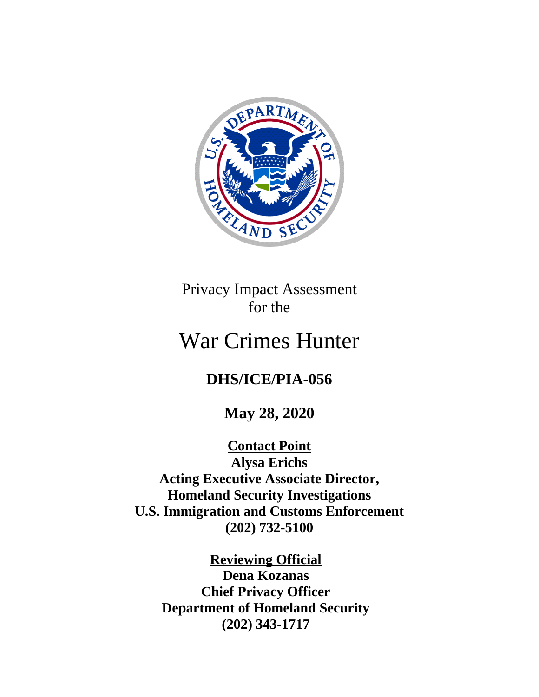

Privacy Impact Assessment for the

# War Crimes Hunter

# **DHS/ICE/PIA-056**

**May 28, 2020**

**Contact Point Alysa Erichs Acting Executive Associate Director, Homeland Security Investigations U.S. Immigration and Customs Enforcement (202) 732-5100**

**Reviewing Official Dena Kozanas Chief Privacy Officer Department of Homeland Security (202) 343-1717**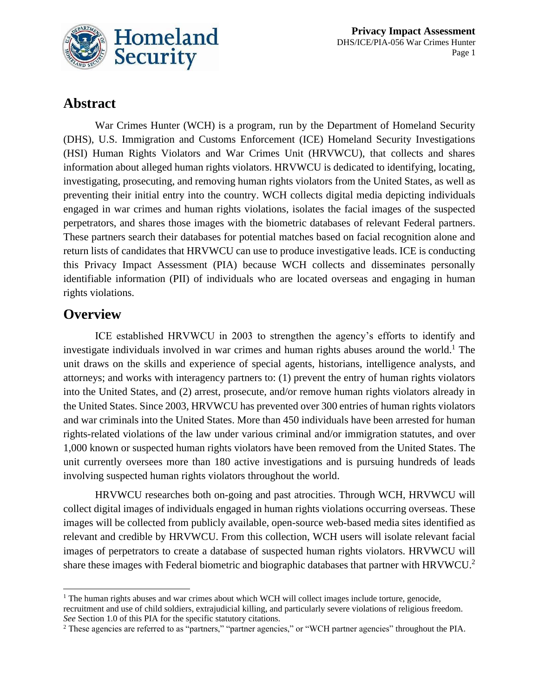

# **Abstract**

War Crimes Hunter (WCH) is a program, run by the Department of Homeland Security (DHS), U.S. Immigration and Customs Enforcement (ICE) Homeland Security Investigations (HSI) Human Rights Violators and War Crimes Unit (HRVWCU), that collects and shares information about alleged human rights violators. HRVWCU is dedicated to identifying, locating, investigating, prosecuting, and removing human rights violators from the United States, as well as preventing their initial entry into the country. WCH collects digital media depicting individuals engaged in war crimes and human rights violations, isolates the facial images of the suspected perpetrators, and shares those images with the biometric databases of relevant Federal partners. These partners search their databases for potential matches based on facial recognition alone and return lists of candidates that HRVWCU can use to produce investigative leads. ICE is conducting this Privacy Impact Assessment (PIA) because WCH collects and disseminates personally identifiable information (PII) of individuals who are located overseas and engaging in human rights violations.

### **Overview**

ICE established HRVWCU in 2003 to strengthen the agency's efforts to identify and investigate individuals involved in war crimes and human rights abuses around the world. <sup>1</sup> The unit draws on the skills and experience of special agents, historians, intelligence analysts, and attorneys; and works with interagency partners to: (1) prevent the entry of human rights violators into the United States, and (2) arrest, prosecute, and/or remove human rights violators already in the United States. Since 2003, HRVWCU has prevented over 300 entries of human rights violators and war criminals into the United States. More than 450 individuals have been arrested for human rights-related violations of the law under various criminal and/or immigration statutes, and over 1,000 known or suspected human rights violators have been removed from the United States. The unit currently oversees more than 180 active investigations and is pursuing hundreds of leads involving suspected human rights violators throughout the world.

HRVWCU researches both on-going and past atrocities. Through WCH, HRVWCU will collect digital images of individuals engaged in human rights violations occurring overseas. These images will be collected from publicly available, open-source web-based media sites identified as relevant and credible by HRVWCU. From this collection, WCH users will isolate relevant facial images of perpetrators to create a database of suspected human rights violators. HRVWCU will share these images with Federal biometric and biographic databases that partner with HRVWCU.<sup>2</sup>

<sup>&</sup>lt;sup>1</sup> The human rights abuses and war crimes about which WCH will collect images include torture, genocide,

recruitment and use of child soldiers, extrajudicial killing, and particularly severe violations of religious freedom. *See* Section 1.0 of this PIA for the specific statutory citations.

<sup>&</sup>lt;sup>2</sup> These agencies are referred to as "partners," "partner agencies," or "WCH partner agencies" throughout the PIA.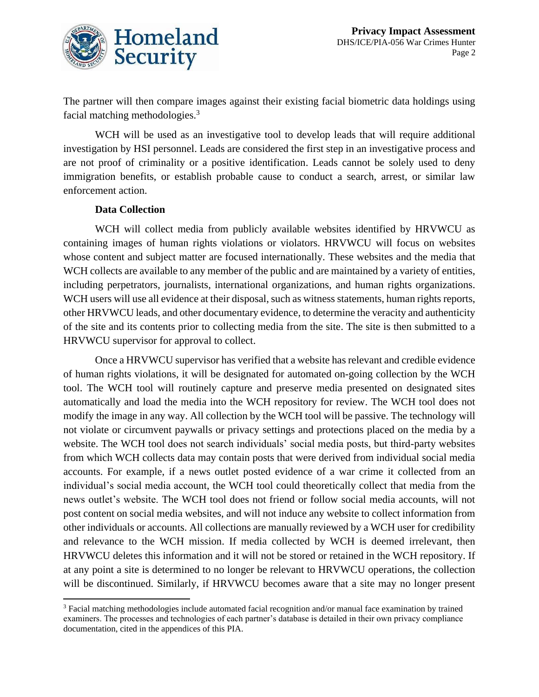

The partner will then compare images against their existing facial biometric data holdings using facial matching methodologies.<sup>3</sup>

WCH will be used as an investigative tool to develop leads that will require additional investigation by HSI personnel. Leads are considered the first step in an investigative process and are not proof of criminality or a positive identification. Leads cannot be solely used to deny immigration benefits, or establish probable cause to conduct a search, arrest, or similar law enforcement action.

#### **Data Collection**

WCH will collect media from publicly available websites identified by HRVWCU as containing images of human rights violations or violators. HRVWCU will focus on websites whose content and subject matter are focused internationally. These websites and the media that WCH collects are available to any member of the public and are maintained by a variety of entities, including perpetrators, journalists, international organizations, and human rights organizations. WCH users will use all evidence at their disposal, such as witness statements, human rights reports, other HRVWCU leads, and other documentary evidence, to determine the veracity and authenticity of the site and its contents prior to collecting media from the site. The site is then submitted to a HRVWCU supervisor for approval to collect.

Once a HRVWCU supervisor has verified that a website has relevant and credible evidence of human rights violations, it will be designated for automated on-going collection by the WCH tool. The WCH tool will routinely capture and preserve media presented on designated sites automatically and load the media into the WCH repository for review. The WCH tool does not modify the image in any way. All collection by the WCH tool will be passive. The technology will not violate or circumvent paywalls or privacy settings and protections placed on the media by a website. The WCH tool does not search individuals' social media posts, but third-party websites from which WCH collects data may contain posts that were derived from individual social media accounts. For example, if a news outlet posted evidence of a war crime it collected from an individual's social media account, the WCH tool could theoretically collect that media from the news outlet's website. The WCH tool does not friend or follow social media accounts, will not post content on social media websites, and will not induce any website to collect information from other individuals or accounts. All collections are manually reviewed by a WCH user for credibility and relevance to the WCH mission. If media collected by WCH is deemed irrelevant, then HRVWCU deletes this information and it will not be stored or retained in the WCH repository. If at any point a site is determined to no longer be relevant to HRVWCU operations, the collection will be discontinued. Similarly, if HRVWCU becomes aware that a site may no longer present

<sup>3</sup> Facial matching methodologies include automated facial recognition and/or manual face examination by trained examiners. The processes and technologies of each partner's database is detailed in their own privacy compliance documentation, cited in the appendices of this PIA.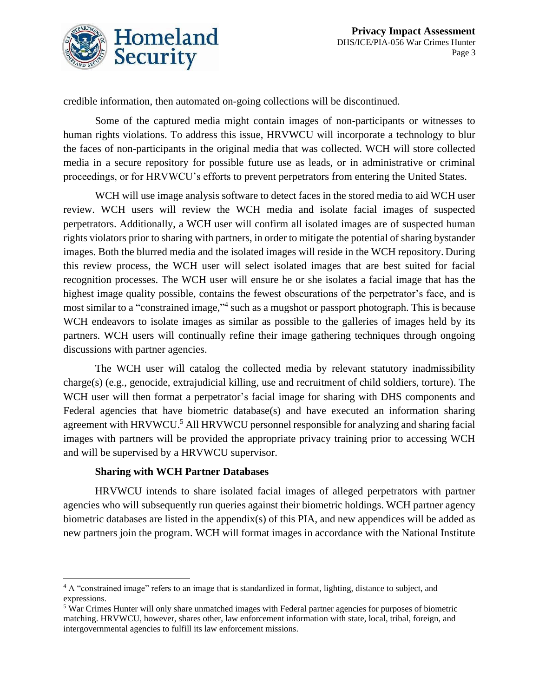

credible information, then automated on-going collections will be discontinued.

Some of the captured media might contain images of non-participants or witnesses to human rights violations. To address this issue, HRVWCU will incorporate a technology to blur the faces of non-participants in the original media that was collected. WCH will store collected media in a secure repository for possible future use as leads, or in administrative or criminal proceedings, or for HRVWCU's efforts to prevent perpetrators from entering the United States.

WCH will use image analysis software to detect faces in the stored media to aid WCH user review. WCH users will review the WCH media and isolate facial images of suspected perpetrators. Additionally, a WCH user will confirm all isolated images are of suspected human rights violators prior to sharing with partners, in order to mitigate the potential of sharing bystander images. Both the blurred media and the isolated images will reside in the WCH repository. During this review process, the WCH user will select isolated images that are best suited for facial recognition processes. The WCH user will ensure he or she isolates a facial image that has the highest image quality possible, contains the fewest obscurations of the perpetrator's face, and is most similar to a "constrained image," 4 such as a mugshot or passport photograph. This is because WCH endeavors to isolate images as similar as possible to the galleries of images held by its partners. WCH users will continually refine their image gathering techniques through ongoing discussions with partner agencies.

The WCH user will catalog the collected media by relevant statutory inadmissibility charge(s) (e.g., genocide, extrajudicial killing, use and recruitment of child soldiers, torture). The WCH user will then format a perpetrator's facial image for sharing with DHS components and Federal agencies that have biometric database(s) and have executed an information sharing agreement with HRVWCU.<sup>5</sup> All HRVWCU personnel responsible for analyzing and sharing facial images with partners will be provided the appropriate privacy training prior to accessing WCH and will be supervised by a HRVWCU supervisor.

#### **Sharing with WCH Partner Databases**

HRVWCU intends to share isolated facial images of alleged perpetrators with partner agencies who will subsequently run queries against their biometric holdings. WCH partner agency biometric databases are listed in the appendix(s) of this PIA, and new appendices will be added as new partners join the program. WCH will format images in accordance with the National Institute

<sup>4</sup> A "constrained image" refers to an image that is standardized in format, lighting, distance to subject, and expressions.

<sup>5</sup> War Crimes Hunter will only share unmatched images with Federal partner agencies for purposes of biometric matching. HRVWCU, however, shares other, law enforcement information with state, local, tribal, foreign, and intergovernmental agencies to fulfill its law enforcement missions.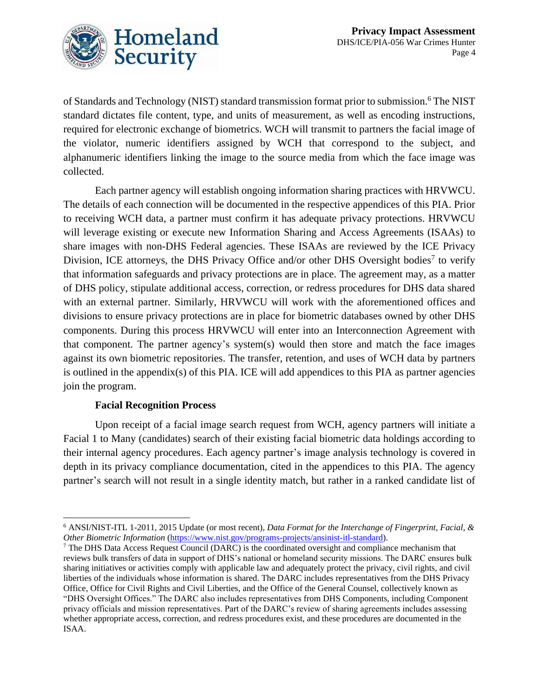

of Standards and Technology (NIST) standard transmission format prior to submission.<sup>6</sup> The NIST standard dictates file content, type, and units of measurement, as well as encoding instructions, required for electronic exchange of biometrics. WCH will transmit to partners the facial image of the violator, numeric identifiers assigned by WCH that correspond to the subject, and alphanumeric identifiers linking the image to the source media from which the face image was collected.

Each partner agency will establish ongoing information sharing practices with HRVWCU. The details of each connection will be documented in the respective appendices of this PIA. Prior to receiving WCH data, a partner must confirm it has adequate privacy protections. HRVWCU will leverage existing or execute new Information Sharing and Access Agreements (ISAAs) to share images with non-DHS Federal agencies. These ISAAs are reviewed by the ICE Privacy Division, ICE attorneys, the DHS Privacy Office and/or other DHS Oversight bodies<sup>7</sup> to verify that information safeguards and privacy protections are in place. The agreement may, as a matter of DHS policy, stipulate additional access, correction, or redress procedures for DHS data shared with an external partner. Similarly, HRVWCU will work with the aforementioned offices and divisions to ensure privacy protections are in place for biometric databases owned by other DHS components. During this process HRVWCU will enter into an Interconnection Agreement with that component. The partner agency's system(s) would then store and match the face images against its own biometric repositories. The transfer, retention, and uses of WCH data by partners is outlined in the appendix(s) of this PIA. ICE will add appendices to this PIA as partner agencies join the program.

#### **Facial Recognition Process**

Upon receipt of a facial image search request from WCH, agency partners will initiate a Facial 1 to Many (candidates) search of their existing facial biometric data holdings according to their internal agency procedures. Each agency partner's image analysis technology is covered in depth in its privacy compliance documentation, cited in the appendices to this PIA. The agency partner's search will not result in a single identity match, but rather in a ranked candidate list of

<sup>6</sup> ANSI/NIST-ITL 1-2011, 2015 Update (or most recent), *Data Format for the Interchange of Fingerprint, Facial, & Other Biometric Information* [\(https://www.nist.gov/programs-projects/ansinist-itl-standard\)](https://www.nist.gov/programs-projects/ansinist-itl-standard).

<sup>7</sup> The DHS Data Access Request Council (DARC) is the coordinated oversight and compliance mechanism that reviews bulk transfers of data in support of DHS's national or homeland security missions. The DARC ensures bulk sharing initiatives or activities comply with applicable law and adequately protect the privacy, civil rights, and civil liberties of the individuals whose information is shared. The DARC includes representatives from the DHS Privacy Office, Office for Civil Rights and Civil Liberties, and the Office of the General Counsel, collectively known as "DHS Oversight Offices." The DARC also includes representatives from DHS Components, including Component privacy officials and mission representatives. Part of the DARC's review of sharing agreements includes assessing whether appropriate access, correction, and redress procedures exist, and these procedures are documented in the ISAA.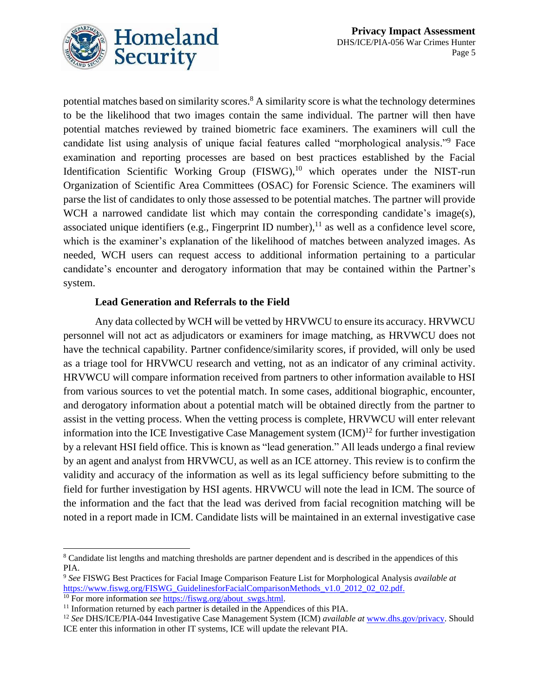

potential matches based on similarity scores.<sup>8</sup> A similarity score is what the technology determines to be the likelihood that two images contain the same individual. The partner will then have potential matches reviewed by trained biometric face examiners. The examiners will cull the candidate list using analysis of unique facial features called "morphological analysis."<sup>9</sup> Face examination and reporting processes are based on best practices established by the Facial Identification Scientific Working Group  $(FISWG)$ ,<sup>10</sup> which operates under the NIST-run Organization of Scientific Area Committees (OSAC) for Forensic Science. The examiners will parse the list of candidates to only those assessed to be potential matches. The partner will provide WCH a narrowed candidate list which may contain the corresponding candidate's image(s), associated unique identifiers (e.g., Fingerprint ID number), $^{11}$  as well as a confidence level score, which is the examiner's explanation of the likelihood of matches between analyzed images. As needed, WCH users can request access to additional information pertaining to a particular candidate's encounter and derogatory information that may be contained within the Partner's system.

### **Lead Generation and Referrals to the Field**

Any data collected by WCH will be vetted by HRVWCU to ensure its accuracy. HRVWCU personnel will not act as adjudicators or examiners for image matching, as HRVWCU does not have the technical capability. Partner confidence/similarity scores, if provided, will only be used as a triage tool for HRVWCU research and vetting, not as an indicator of any criminal activity. HRVWCU will compare information received from partners to other information available to HSI from various sources to vet the potential match. In some cases, additional biographic, encounter, and derogatory information about a potential match will be obtained directly from the partner to assist in the vetting process. When the vetting process is complete, HRVWCU will enter relevant information into the ICE Investigative Case Management system  $(ICM)^{12}$  for further investigation by a relevant HSI field office. This is known as "lead generation." All leads undergo a final review by an agent and analyst from HRVWCU, as well as an ICE attorney. This review is to confirm the validity and accuracy of the information as well as its legal sufficiency before submitting to the field for further investigation by HSI agents. HRVWCU will note the lead in ICM. The source of the information and the fact that the lead was derived from facial recognition matching will be noted in a report made in ICM. Candidate lists will be maintained in an external investigative case

<sup>&</sup>lt;sup>8</sup> Candidate list lengths and matching thresholds are partner dependent and is described in the appendices of this PIA.

<sup>9</sup> *See* FISWG Best Practices for Facial Image Comparison Feature List for Morphological Analysis *available at* [https://www.fiswg.org/FISWG\\_GuidelinesforFacialComparisonMethods\\_v1.0\\_2012\\_02\\_02.pdf.](https://www.fiswg.org/FISWG_GuidelinesforFacialComparisonMethods_v1.0_2012_02_02.pdf) <sup>10</sup> For more information *see* [https://fiswg.org/about\\_swgs.html.](https://fiswg.org/about_swgs.html)

<sup>&</sup>lt;sup>11</sup> Information returned by each partner is detailed in the Appendices of this PIA.

<sup>12</sup> *See* DHS/ICE/PIA-044 Investigative Case Management System (ICM) *available at* [www.dhs.gov/privacy.](http://www.dhs.gov/privacy) Should ICE enter this information in other IT systems, ICE will update the relevant PIA.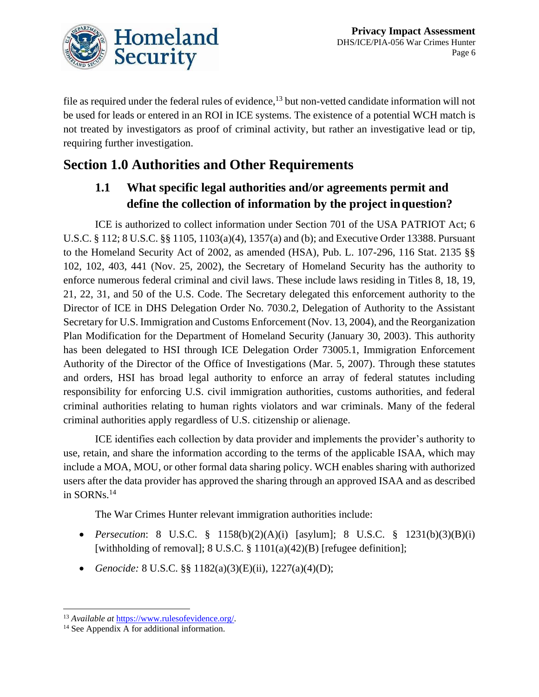

file as required under the federal rules of evidence,<sup>13</sup> but non-vetted candidate information will not be used for leads or entered in an ROI in ICE systems. The existence of a potential WCH match is not treated by investigators as proof of criminal activity, but rather an investigative lead or tip, requiring further investigation.

# **Section 1.0 Authorities and Other Requirements**

### **1.1 What specific legal authorities and/or agreements permit and define the collection of information by the project inquestion?**

ICE is authorized to collect information under Section 701 of the USA PATRIOT Act; 6 U.S.C. § 112; 8 U.S.C. §§ 1105, 1103(a)(4), 1357(a) and (b); and Executive Order 13388. Pursuant to the Homeland Security Act of 2002, as amended (HSA), Pub. L. 107-296, 116 Stat. 2135 §§ 102, 102, 403, 441 (Nov. 25, 2002), the Secretary of Homeland Security has the authority to enforce numerous federal criminal and civil laws. These include laws residing in Titles 8, 18, 19, 21, 22, 31, and 50 of the U.S. Code. The Secretary delegated this enforcement authority to the Director of ICE in DHS Delegation Order No. 7030.2, Delegation of Authority to the Assistant Secretary for U.S. Immigration and Customs Enforcement (Nov. 13, 2004), and the Reorganization Plan Modification for the Department of Homeland Security (January 30, 2003). This authority has been delegated to HSI through ICE Delegation Order 73005.1, Immigration Enforcement Authority of the Director of the Office of Investigations (Mar. 5, 2007). Through these statutes and orders, HSI has broad legal authority to enforce an array of federal statutes including responsibility for enforcing U.S. civil immigration authorities, customs authorities, and federal criminal authorities relating to human rights violators and war criminals. Many of the federal criminal authorities apply regardless of U.S. citizenship or alienage.

ICE identifies each collection by data provider and implements the provider's authority to use, retain, and share the information according to the terms of the applicable ISAA, which may include a MOA, MOU, or other formal data sharing policy. WCH enables sharing with authorized users after the data provider has approved the sharing through an approved ISAA and as described in SORNs.<sup>14</sup>

The War Crimes Hunter relevant immigration authorities include:

- *Persecution*: 8 U.S.C. § 1158(b)(2)(A)(i) [asylum]; 8 U.S.C. § 1231(b)(3)(B)(i) [withholding of removal]; 8 U.S.C. § 1101(a)(42)(B) [refugee definition];
- *Genocide:* 8 U.S.C. §§ 1182(a)(3)(E)(ii), 1227(a)(4)(D);

<sup>13</sup> *Available at* [https://www.rulesofevidence.org/.](https://www.rulesofevidence.org/)

 $14$  See Appendix A for additional information.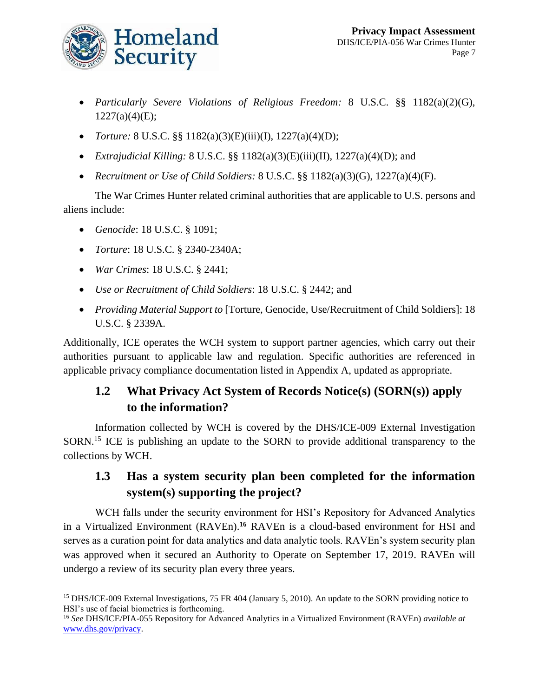

- *Particularly Severe Violations of Religious Freedom:* 8 U.S.C. §§ 1182(a)(2)(G),  $1227(a)(4)(E);$
- *Torture:* 8 U.S.C. §§ 1182(a)(3)(E)(iii)(I), 1227(a)(4)(D);
- *Extrajudicial Killing:* 8 U.S.C. §§ 1182(a)(3)(E)(iii)(II), 1227(a)(4)(D); and
- *Recruitment or Use of Child Soldiers:* 8 U.S.C. §§ 1182(a)(3)(G), 1227(a)(4)(F).

The War Crimes Hunter related criminal authorities that are applicable to U.S. persons and aliens include:

- *Genocide*: 18 U.S.C. § 1091;
- *Torture*: 18 U.S.C. § 2340-2340A;
- *War Crimes*: 18 U.S.C. § 2441;
- *Use or Recruitment of Child Soldiers*: 18 U.S.C. § 2442; and
- *Providing Material Support to* [Torture, Genocide, Use/Recruitment of Child Soldiers]: 18 U.S.C. § 2339A.

Additionally, ICE operates the WCH system to support partner agencies, which carry out their authorities pursuant to applicable law and regulation. Specific authorities are referenced in applicable privacy compliance documentation listed in Appendix A, updated as appropriate.

### **1.2 What Privacy Act System of Records Notice(s) (SORN(s)) apply to the information?**

Information collected by WCH is covered by the DHS/ICE-009 External Investigation SORN.<sup>15</sup> ICE is publishing an update to the SORN to provide additional transparency to the collections by WCH.

### **1.3 Has a system security plan been completed for the information system(s) supporting the project?**

WCH falls under the security environment for HSI's Repository for Advanced Analytics in a Virtualized Environment (RAVEn).**<sup>16</sup>** RAVEn is a cloud-based environment for HSI and serves as a curation point for data analytics and data analytic tools. RAVEn's system security plan was approved when it secured an Authority to Operate on September 17, 2019. RAVEn will undergo a review of its security plan every three years.

<sup>&</sup>lt;sup>15</sup> DHS/ICE-009 External Investigations, 75 FR 404 (January 5, 2010). An update to the SORN providing notice to HSI's use of facial biometrics is forthcoming.

<sup>16</sup> *See* DHS/ICE/PIA-055 Repository for Advanced Analytics in a Virtualized Environment (RAVEn) *available at* [www.dhs.gov/privacy.](http://www.dhs.gov/privacy)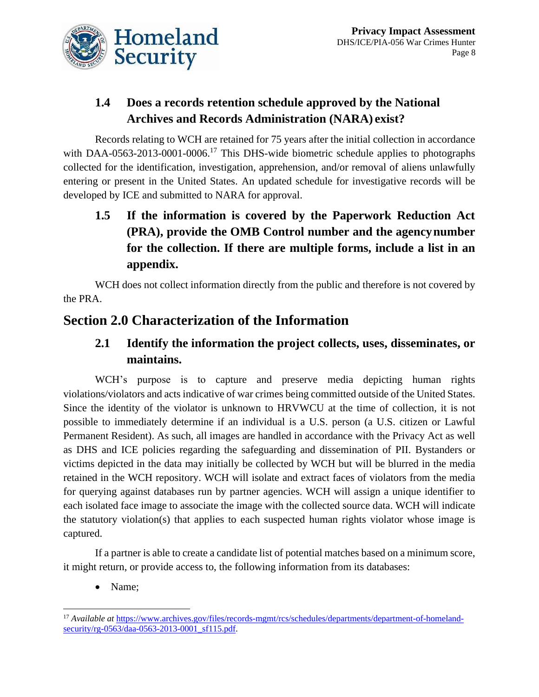

### **1.4 Does a records retention schedule approved by the National Archives and Records Administration (NARA) exist?**

Records relating to WCH are retained for 75 years after the initial collection in accordance with DAA-0563-2013-0001-0006.<sup>17</sup> This DHS-wide biometric schedule applies to photographs collected for the identification, investigation, apprehension, and/or removal of aliens unlawfully entering or present in the United States. An updated schedule for investigative records will be developed by ICE and submitted to NARA for approval.

**1.5 If the information is covered by the Paperwork Reduction Act (PRA), provide the OMB Control number and the agencynumber for the collection. If there are multiple forms, include a list in an appendix.**

WCH does not collect information directly from the public and therefore is not covered by the PRA.

# **Section 2.0 Characterization of the Information**

### **2.1 Identify the information the project collects, uses, disseminates, or maintains.**

WCH's purpose is to capture and preserve media depicting human rights violations/violators and acts indicative of war crimes being committed outside of the United States. Since the identity of the violator is unknown to HRVWCU at the time of collection, it is not possible to immediately determine if an individual is a U.S. person (a U.S. citizen or Lawful Permanent Resident). As such, all images are handled in accordance with the Privacy Act as well as DHS and ICE policies regarding the safeguarding and dissemination of PII. Bystanders or victims depicted in the data may initially be collected by WCH but will be blurred in the media retained in the WCH repository. WCH will isolate and extract faces of violators from the media for querying against databases run by partner agencies. WCH will assign a unique identifier to each isolated face image to associate the image with the collected source data. WCH will indicate the statutory violation(s) that applies to each suspected human rights violator whose image is captured.

If a partner is able to create a candidate list of potential matches based on a minimum score, it might return, or provide access to, the following information from its databases:

• Name;

<sup>&</sup>lt;sup>17</sup> *Available at* [https://www.archives.gov/files/records-mgmt/rcs/schedules/departments/department-of-homeland](https://www.archives.gov/files/records-mgmt/rcs/schedules/departments/department-of-homeland-security/rg-0563/daa-0563-2013-0001_sf115.pdf)[security/rg-0563/daa-0563-2013-0001\\_sf115.pdf.](https://www.archives.gov/files/records-mgmt/rcs/schedules/departments/department-of-homeland-security/rg-0563/daa-0563-2013-0001_sf115.pdf)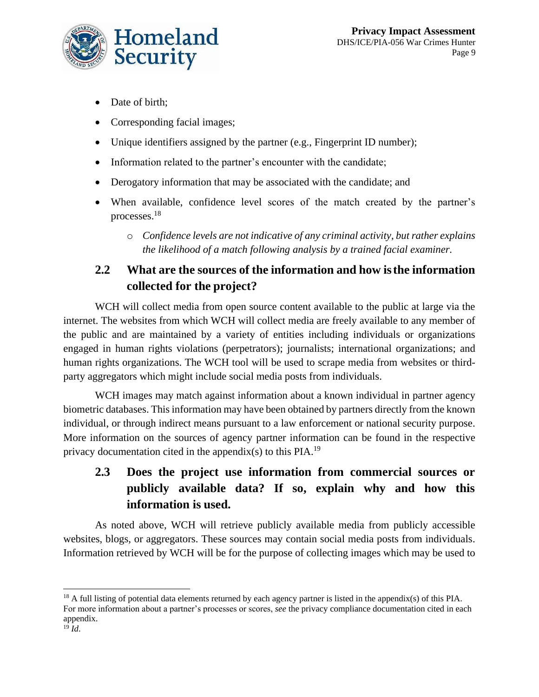

- Date of birth;
- Corresponding facial images;
- Unique identifiers assigned by the partner (e.g., Fingerprint ID number);
- Information related to the partner's encounter with the candidate;
- Derogatory information that may be associated with the candidate; and
- When available, confidence level scores of the match created by the partner's processes. 18
	- o *Confidence levels are not indicative of any criminal activity, but rather explains the likelihood of a match following analysis by a trained facial examiner.*

### **2.2 What are the sources of the information and how isthe information collected for the project?**

WCH will collect media from open source content available to the public at large via the internet. The websites from which WCH will collect media are freely available to any member of the public and are maintained by a variety of entities including individuals or organizations engaged in human rights violations (perpetrators); journalists; international organizations; and human rights organizations. The WCH tool will be used to scrape media from websites or thirdparty aggregators which might include social media posts from individuals.

WCH images may match against information about a known individual in partner agency biometric databases. This information may have been obtained by partners directly from the known individual, or through indirect means pursuant to a law enforcement or national security purpose. More information on the sources of agency partner information can be found in the respective privacy documentation cited in the appendix(s) to this  $PIA.19$ 

# **2.3 Does the project use information from commercial sources or publicly available data? If so, explain why and how this information is used.**

As noted above, WCH will retrieve publicly available media from publicly accessible websites, blogs, or aggregators. These sources may contain social media posts from individuals. Information retrieved by WCH will be for the purpose of collecting images which may be used to

<sup>&</sup>lt;sup>18</sup> A full listing of potential data elements returned by each agency partner is listed in the appendix(s) of this PIA. For more information about a partner's processes or scores, *see* the privacy compliance documentation cited in each appendix.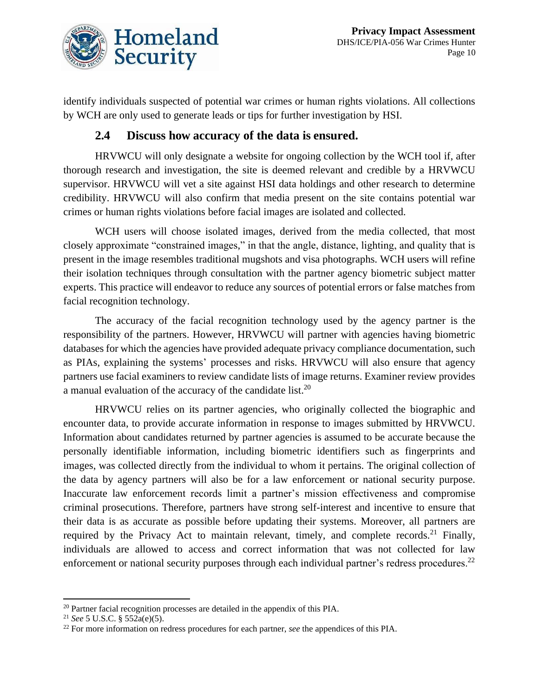

identify individuals suspected of potential war crimes or human rights violations. All collections by WCH are only used to generate leads or tips for further investigation by HSI.

### **2.4 Discuss how accuracy of the data is ensured.**

HRVWCU will only designate a website for ongoing collection by the WCH tool if, after thorough research and investigation, the site is deemed relevant and credible by a HRVWCU supervisor. HRVWCU will vet a site against HSI data holdings and other research to determine credibility. HRVWCU will also confirm that media present on the site contains potential war crimes or human rights violations before facial images are isolated and collected.

WCH users will choose isolated images, derived from the media collected, that most closely approximate "constrained images," in that the angle, distance, lighting, and quality that is present in the image resembles traditional mugshots and visa photographs. WCH users will refine their isolation techniques through consultation with the partner agency biometric subject matter experts. This practice will endeavor to reduce any sources of potential errors or false matches from facial recognition technology.

The accuracy of the facial recognition technology used by the agency partner is the responsibility of the partners. However, HRVWCU will partner with agencies having biometric databases for which the agencies have provided adequate privacy compliance documentation, such as PIAs, explaining the systems' processes and risks. HRVWCU will also ensure that agency partners use facial examiners to review candidate lists of image returns. Examiner review provides a manual evaluation of the accuracy of the candidate list.<sup>20</sup>

HRVWCU relies on its partner agencies, who originally collected the biographic and encounter data, to provide accurate information in response to images submitted by HRVWCU. Information about candidates returned by partner agencies is assumed to be accurate because the personally identifiable information, including biometric identifiers such as fingerprints and images, was collected directly from the individual to whom it pertains. The original collection of the data by agency partners will also be for a law enforcement or national security purpose. Inaccurate law enforcement records limit a partner's mission effectiveness and compromise criminal prosecutions. Therefore, partners have strong self-interest and incentive to ensure that their data is as accurate as possible before updating their systems. Moreover, all partners are required by the Privacy Act to maintain relevant, timely, and complete records.<sup>21</sup> Finally, individuals are allowed to access and correct information that was not collected for law enforcement or national security purposes through each individual partner's redress procedures.<sup>22</sup>

<sup>&</sup>lt;sup>20</sup> Partner facial recognition processes are detailed in the appendix of this PIA.

<sup>21</sup> *See* 5 U.S.C. § 552a(e)(5).

<sup>22</sup> For more information on redress procedures for each partner, *see* the appendices of this PIA.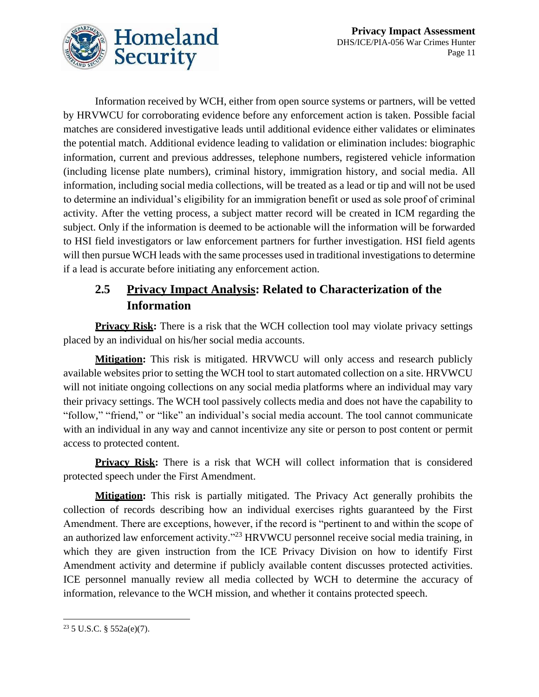

Information received by WCH, either from open source systems or partners, will be vetted by HRVWCU for corroborating evidence before any enforcement action is taken. Possible facial matches are considered investigative leads until additional evidence either validates or eliminates the potential match. Additional evidence leading to validation or elimination includes: biographic information, current and previous addresses, telephone numbers, registered vehicle information (including license plate numbers), criminal history, immigration history, and social media. All information, including social media collections, will be treated as a lead or tip and will not be used to determine an individual's eligibility for an immigration benefit or used as sole proof of criminal activity. After the vetting process, a subject matter record will be created in ICM regarding the subject. Only if the information is deemed to be actionable will the information will be forwarded to HSI field investigators or law enforcement partners for further investigation. HSI field agents will then pursue WCH leads with the same processes used in traditional investigations to determine if a lead is accurate before initiating any enforcement action.

### **2.5 Privacy Impact Analysis: Related to Characterization of the Information**

**Privacy Risk:** There is a risk that the WCH collection tool may violate privacy settings placed by an individual on his/her social media accounts.

**Mitigation:** This risk is mitigated. HRVWCU will only access and research publicly available websites prior to setting the WCH tool to start automated collection on a site. HRVWCU will not initiate ongoing collections on any social media platforms where an individual may vary their privacy settings. The WCH tool passively collects media and does not have the capability to "follow," "friend," or "like" an individual's social media account. The tool cannot communicate with an individual in any way and cannot incentivize any site or person to post content or permit access to protected content.

**Privacy Risk:** There is a risk that WCH will collect information that is considered protected speech under the First Amendment.

**Mitigation:** This risk is partially mitigated. The Privacy Act generally prohibits the collection of records describing how an individual exercises rights guaranteed by the First Amendment. There are exceptions, however, if the record is "pertinent to and within the scope of an authorized law enforcement activity."<sup>23</sup> HRVWCU personnel receive social media training, in which they are given instruction from the ICE Privacy Division on how to identify First Amendment activity and determine if publicly available content discusses protected activities. ICE personnel manually review all media collected by WCH to determine the accuracy of information, relevance to the WCH mission, and whether it contains protected speech.

 $23$  5 U.S.C. § 552a(e)(7).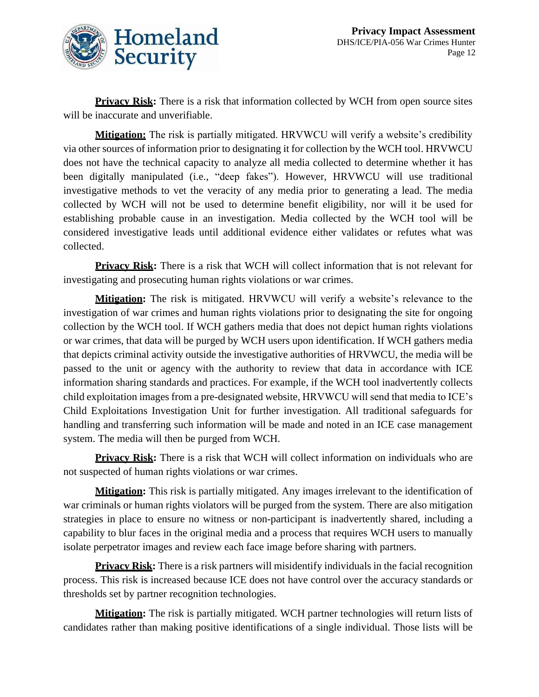

**Privacy Risk:** There is a risk that information collected by WCH from open source sites will be inaccurate and unverifiable.

**Mitigation:** The risk is partially mitigated. HRVWCU will verify a website's credibility via other sources of information prior to designating it for collection by the WCH tool. HRVWCU does not have the technical capacity to analyze all media collected to determine whether it has been digitally manipulated (i.e., "deep fakes"). However, HRVWCU will use traditional investigative methods to vet the veracity of any media prior to generating a lead. The media collected by WCH will not be used to determine benefit eligibility, nor will it be used for establishing probable cause in an investigation. Media collected by the WCH tool will be considered investigative leads until additional evidence either validates or refutes what was collected.

**Privacy Risk:** There is a risk that WCH will collect information that is not relevant for investigating and prosecuting human rights violations or war crimes.

**Mitigation:** The risk is mitigated. HRVWCU will verify a website's relevance to the investigation of war crimes and human rights violations prior to designating the site for ongoing collection by the WCH tool. If WCH gathers media that does not depict human rights violations or war crimes, that data will be purged by WCH users upon identification. If WCH gathers media that depicts criminal activity outside the investigative authorities of HRVWCU, the media will be passed to the unit or agency with the authority to review that data in accordance with ICE information sharing standards and practices. For example, if the WCH tool inadvertently collects child exploitation images from a pre-designated website, HRVWCU will send that media to ICE's Child Exploitations Investigation Unit for further investigation. All traditional safeguards for handling and transferring such information will be made and noted in an ICE case management system. The media will then be purged from WCH.

**Privacy Risk:** There is a risk that WCH will collect information on individuals who are not suspected of human rights violations or war crimes.

**Mitigation:** This risk is partially mitigated. Any images irrelevant to the identification of war criminals or human rights violators will be purged from the system. There are also mitigation strategies in place to ensure no witness or non-participant is inadvertently shared, including a capability to blur faces in the original media and a process that requires WCH users to manually isolate perpetrator images and review each face image before sharing with partners.

**Privacy Risk:** There is a risk partners will misidentify individuals in the facial recognition process. This risk is increased because ICE does not have control over the accuracy standards or thresholds set by partner recognition technologies.

**Mitigation:** The risk is partially mitigated. WCH partner technologies will return lists of candidates rather than making positive identifications of a single individual. Those lists will be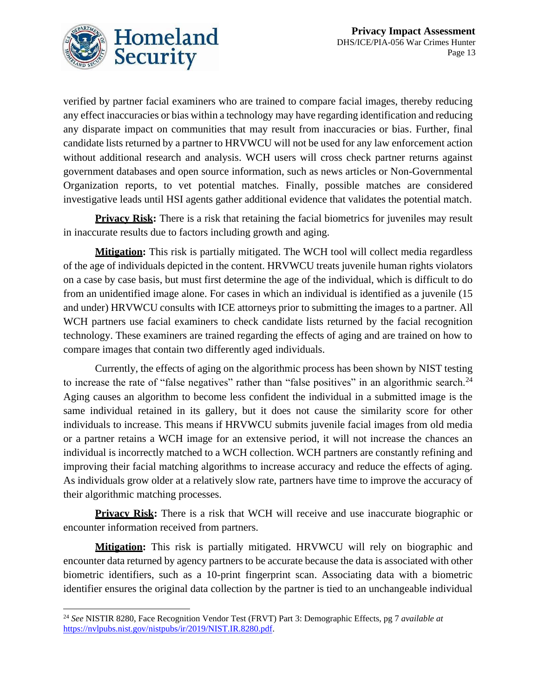

verified by partner facial examiners who are trained to compare facial images, thereby reducing any effect inaccuracies or bias within a technology may have regarding identification and reducing any disparate impact on communities that may result from inaccuracies or bias. Further, final candidate lists returned by a partner to HRVWCU will not be used for any law enforcement action without additional research and analysis. WCH users will cross check partner returns against government databases and open source information, such as news articles or Non-Governmental Organization reports, to vet potential matches. Finally, possible matches are considered investigative leads until HSI agents gather additional evidence that validates the potential match.

**Privacy Risk:** There is a risk that retaining the facial biometrics for juveniles may result in inaccurate results due to factors including growth and aging.

**Mitigation:** This risk is partially mitigated. The WCH tool will collect media regardless of the age of individuals depicted in the content. HRVWCU treats juvenile human rights violators on a case by case basis, but must first determine the age of the individual, which is difficult to do from an unidentified image alone. For cases in which an individual is identified as a juvenile (15 and under) HRVWCU consults with ICE attorneys prior to submitting the images to a partner. All WCH partners use facial examiners to check candidate lists returned by the facial recognition technology. These examiners are trained regarding the effects of aging and are trained on how to compare images that contain two differently aged individuals.

Currently, the effects of aging on the algorithmic process has been shown by NIST testing to increase the rate of "false negatives" rather than "false positives" in an algorithmic search.<sup>24</sup> Aging causes an algorithm to become less confident the individual in a submitted image is the same individual retained in its gallery, but it does not cause the similarity score for other individuals to increase. This means if HRVWCU submits juvenile facial images from old media or a partner retains a WCH image for an extensive period, it will not increase the chances an individual is incorrectly matched to a WCH collection. WCH partners are constantly refining and improving their facial matching algorithms to increase accuracy and reduce the effects of aging. As individuals grow older at a relatively slow rate, partners have time to improve the accuracy of their algorithmic matching processes.

**Privacy Risk:** There is a risk that WCH will receive and use inaccurate biographic or encounter information received from partners.

**Mitigation:** This risk is partially mitigated. HRVWCU will rely on biographic and encounter data returned by agency partners to be accurate because the data is associated with other biometric identifiers, such as a 10-print fingerprint scan. Associating data with a biometric identifier ensures the original data collection by the partner is tied to an unchangeable individual

<sup>24</sup> *See* NISTIR 8280, Face Recognition Vendor Test (FRVT) Part 3: Demographic Effects, pg 7 *available at* [https://nvlpubs.nist.gov/nistpubs/ir/2019/NIST.IR.8280.pdf.](https://nvlpubs.nist.gov/nistpubs/ir/2019/NIST.IR.8280.pdf)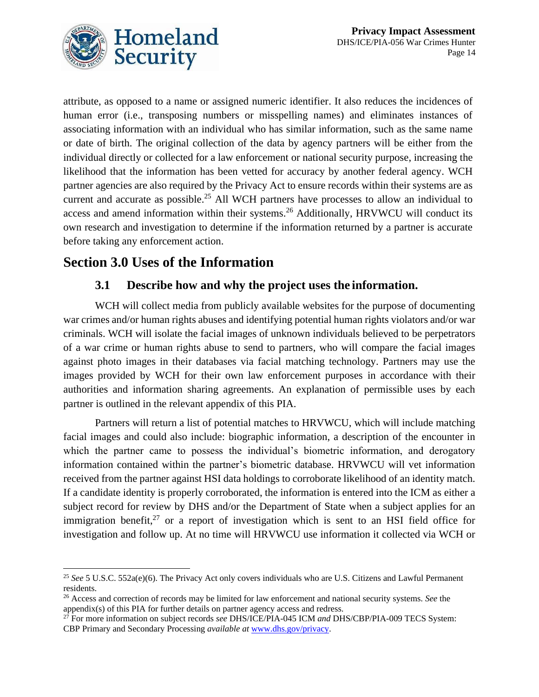

attribute, as opposed to a name or assigned numeric identifier. It also reduces the incidences of human error (i.e., transposing numbers or misspelling names) and eliminates instances of associating information with an individual who has similar information, such as the same name or date of birth. The original collection of the data by agency partners will be either from the individual directly or collected for a law enforcement or national security purpose, increasing the likelihood that the information has been vetted for accuracy by another federal agency. WCH partner agencies are also required by the Privacy Act to ensure records within their systems are as current and accurate as possible.<sup>25</sup> All WCH partners have processes to allow an individual to access and amend information within their systems.<sup>26</sup> Additionally, HRVWCU will conduct its own research and investigation to determine if the information returned by a partner is accurate before taking any enforcement action.

# **Section 3.0 Uses of the Information**

### **3.1 Describe how and why the project uses the information.**

WCH will collect media from publicly available websites for the purpose of documenting war crimes and/or human rights abuses and identifying potential human rights violators and/or war criminals. WCH will isolate the facial images of unknown individuals believed to be perpetrators of a war crime or human rights abuse to send to partners, who will compare the facial images against photo images in their databases via facial matching technology. Partners may use the images provided by WCH for their own law enforcement purposes in accordance with their authorities and information sharing agreements. An explanation of permissible uses by each partner is outlined in the relevant appendix of this PIA.

Partners will return a list of potential matches to HRVWCU, which will include matching facial images and could also include: biographic information, a description of the encounter in which the partner came to possess the individual's biometric information, and derogatory information contained within the partner's biometric database. HRVWCU will vet information received from the partner against HSI data holdings to corroborate likelihood of an identity match. If a candidate identity is properly corroborated, the information is entered into the ICM as either a subject record for review by DHS and/or the Department of State when a subject applies for an immigration benefit, $27$  or a report of investigation which is sent to an HSI field office for investigation and follow up. At no time will HRVWCU use information it collected via WCH or

<sup>25</sup> *See* 5 U.S.C. 552a(e)(6). The Privacy Act only covers individuals who are U.S. Citizens and Lawful Permanent residents.

<sup>26</sup> Access and correction of records may be limited for law enforcement and national security systems. *See* the appendix(s) of this PIA for further details on partner agency access and redress.

<sup>27</sup> For more information on subject records *see* DHS/ICE/PIA-045 ICM *and* DHS/CBP/PIA-009 TECS System: CBP Primary and Secondary Processing *available at* [www.dhs.gov/privacy.](http://www.dhs.gov/privacy)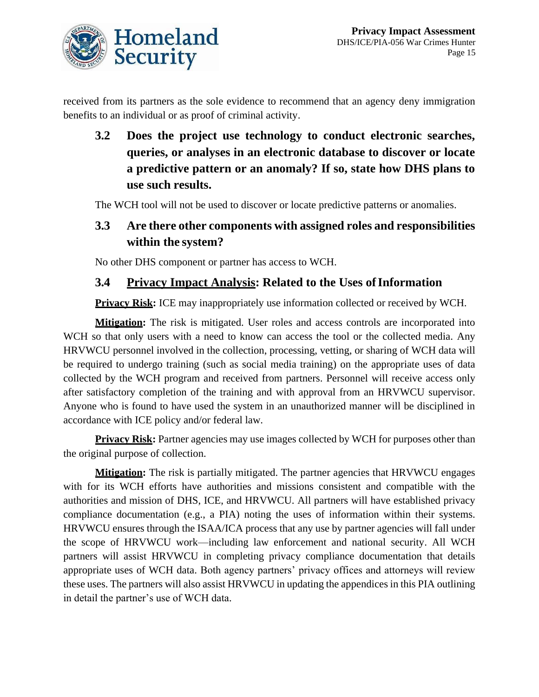received from its partners as the sole evidence to recommend that an agency deny immigration benefits to an individual or as proof of criminal activity.

**3.2 Does the project use technology to conduct electronic searches, queries, or analyses in an electronic database to discover or locate a predictive pattern or an anomaly? If so, state how DHS plans to use such results.**

The WCH tool will not be used to discover or locate predictive patterns or anomalies.

### **3.3 Are there other components with assigned roles and responsibilities within the system?**

No other DHS component or partner has access to WCH.

### **3.4 Privacy Impact Analysis: Related to the Uses ofInformation**

**Privacy Risk:** ICE may inappropriately use information collected or received by WCH.

**Mitigation:** The risk is mitigated. User roles and access controls are incorporated into WCH so that only users with a need to know can access the tool or the collected media. Any HRVWCU personnel involved in the collection, processing, vetting, or sharing of WCH data will be required to undergo training (such as social media training) on the appropriate uses of data collected by the WCH program and received from partners. Personnel will receive access only after satisfactory completion of the training and with approval from an HRVWCU supervisor. Anyone who is found to have used the system in an unauthorized manner will be disciplined in accordance with ICE policy and/or federal law.

**Privacy Risk:** Partner agencies may use images collected by WCH for purposes other than the original purpose of collection.

**Mitigation:** The risk is partially mitigated. The partner agencies that HRVWCU engages with for its WCH efforts have authorities and missions consistent and compatible with the authorities and mission of DHS, ICE, and HRVWCU. All partners will have established privacy compliance documentation (e.g., a PIA) noting the uses of information within their systems. HRVWCU ensures through the ISAA/ICA process that any use by partner agencies will fall under the scope of HRVWCU work—including law enforcement and national security. All WCH partners will assist HRVWCU in completing privacy compliance documentation that details appropriate uses of WCH data. Both agency partners' privacy offices and attorneys will review these uses. The partners will also assist HRVWCU in updating the appendices in this PIA outlining in detail the partner's use of WCH data.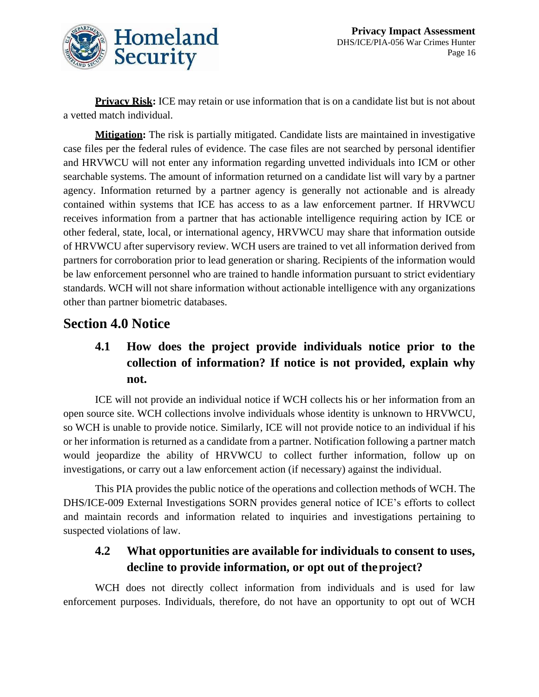

**Privacy Risk:** ICE may retain or use information that is on a candidate list but is not about a vetted match individual.

**Mitigation:** The risk is partially mitigated. Candidate lists are maintained in investigative case files per the federal rules of evidence. The case files are not searched by personal identifier and HRVWCU will not enter any information regarding unvetted individuals into ICM or other searchable systems. The amount of information returned on a candidate list will vary by a partner agency. Information returned by a partner agency is generally not actionable and is already contained within systems that ICE has access to as a law enforcement partner. If HRVWCU receives information from a partner that has actionable intelligence requiring action by ICE or other federal, state, local, or international agency, HRVWCU may share that information outside of HRVWCU after supervisory review. WCH users are trained to vet all information derived from partners for corroboration prior to lead generation or sharing. Recipients of the information would be law enforcement personnel who are trained to handle information pursuant to strict evidentiary standards. WCH will not share information without actionable intelligence with any organizations other than partner biometric databases.

### **Section 4.0 Notice**

# **4.1 How does the project provide individuals notice prior to the collection of information? If notice is not provided, explain why not.**

ICE will not provide an individual notice if WCH collects his or her information from an open source site. WCH collections involve individuals whose identity is unknown to HRVWCU, so WCH is unable to provide notice. Similarly, ICE will not provide notice to an individual if his or her information is returned as a candidate from a partner. Notification following a partner match would jeopardize the ability of HRVWCU to collect further information, follow up on investigations, or carry out a law enforcement action (if necessary) against the individual.

This PIA provides the public notice of the operations and collection methods of WCH. The DHS/ICE-009 External Investigations SORN provides general notice of ICE's efforts to collect and maintain records and information related to inquiries and investigations pertaining to suspected violations of law.

### **4.2 What opportunities are available for individuals to consent to uses, decline to provide information, or opt out of theproject?**

WCH does not directly collect information from individuals and is used for law enforcement purposes. Individuals, therefore, do not have an opportunity to opt out of WCH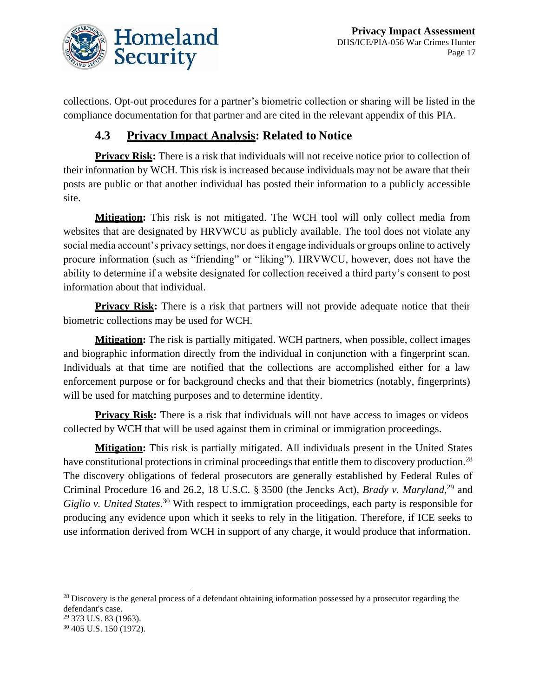

collections. Opt-out procedures for a partner's biometric collection or sharing will be listed in the compliance documentation for that partner and are cited in the relevant appendix of this PIA.

### **4.3 Privacy Impact Analysis: Related to Notice**

**Privacy Risk:** There is a risk that individuals will not receive notice prior to collection of their information by WCH. This risk is increased because individuals may not be aware that their posts are public or that another individual has posted their information to a publicly accessible site.

**Mitigation:** This risk is not mitigated. The WCH tool will only collect media from websites that are designated by HRVWCU as publicly available. The tool does not violate any social media account's privacy settings, nor does it engage individuals or groups online to actively procure information (such as "friending" or "liking"). HRVWCU, however, does not have the ability to determine if a website designated for collection received a third party's consent to post information about that individual.

**Privacy Risk:** There is a risk that partners will not provide adequate notice that their biometric collections may be used for WCH.

**Mitigation:** The risk is partially mitigated. WCH partners, when possible, collect images and biographic information directly from the individual in conjunction with a fingerprint scan. Individuals at that time are notified that the collections are accomplished either for a law enforcement purpose or for background checks and that their biometrics (notably, fingerprints) will be used for matching purposes and to determine identity.

**Privacy Risk:** There is a risk that individuals will not have access to images or videos collected by WCH that will be used against them in criminal or immigration proceedings.

**Mitigation:** This risk is partially mitigated. All individuals present in the United States have constitutional protections in criminal proceedings that entitle them to discovery production.<sup>28</sup> The discovery obligations of federal prosecutors are generally established by Federal Rules of Criminal Procedure 16 and 26.2, 18 U.S.C. § 3500 (the Jencks Act), *Brady v. Maryland*,<sup>29</sup> and *Giglio v. United States*. <sup>30</sup> With respect to immigration proceedings, each party is responsible for producing any evidence upon which it seeks to rely in the litigation. Therefore, if ICE seeks to use information derived from WCH in support of any charge, it would produce that information.

<sup>&</sup>lt;sup>28</sup> Discovery is the general process of a defendant obtaining information possessed by a prosecutor regarding the defendant's case.

<sup>&</sup>lt;sup>29</sup> 373 U.S. 83 (1963).

<sup>30</sup> 405 U.S. 150 (1972).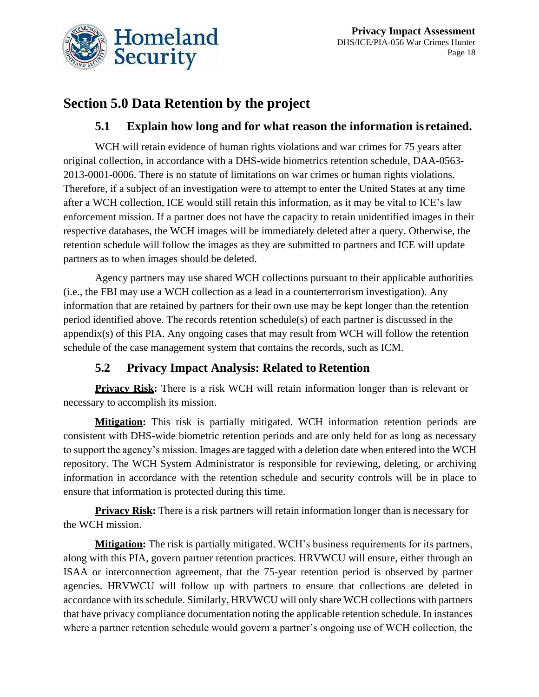

# **Section 5.0 Data Retention by the project**

### **5.1 Explain how long and for what reason the information isretained.**

WCH will retain evidence of human rights violations and war crimes for 75 years after original collection, in accordance with a DHS-wide biometrics retention schedule, DAA-0563- 2013-0001-0006. There is no statute of limitations on war crimes or human rights violations. Therefore, if a subject of an investigation were to attempt to enter the United States at any time after a WCH collection, ICE would still retain this information, as it may be vital to ICE's law enforcement mission. If a partner does not have the capacity to retain unidentified images in their respective databases, the WCH images will be immediately deleted after a query. Otherwise, the retention schedule will follow the images as they are submitted to partners and ICE will update partners as to when images should be deleted.

Agency partners may use shared WCH collections pursuant to their applicable authorities (i.e., the FBI may use a WCH collection as a lead in a counterterrorism investigation). Any information that are retained by partners for their own use may be kept longer than the retention period identified above. The records retention schedule(s) of each partner is discussed in the appendix(s) of this PIA. Any ongoing cases that may result from WCH will follow the retention schedule of the case management system that contains the records, such as ICM.

### **5.2 Privacy Impact Analysis: Related to Retention**

**Privacy Risk:** There is a risk WCH will retain information longer than is relevant or necessary to accomplish its mission.

**Mitigation:** This risk is partially mitigated. WCH information retention periods are consistent with DHS-wide biometric retention periods and are only held for as long as necessary to support the agency's mission. Images are tagged with a deletion date when entered into the WCH repository. The WCH System Administrator is responsible for reviewing, deleting, or archiving information in accordance with the retention schedule and security controls will be in place to ensure that information is protected during this time.

**Privacy Risk:** There is a risk partners will retain information longer than is necessary for the WCH mission.

**Mitigation:** The risk is partially mitigated. WCH's business requirements for its partners, along with this PIA, govern partner retention practices. HRVWCU will ensure, either through an ISAA or interconnection agreement, that the 75-year retention period is observed by partner agencies. HRVWCU will follow up with partners to ensure that collections are deleted in accordance with its schedule. Similarly, HRVWCU will only share WCH collections with partners that have privacy compliance documentation noting the applicable retention schedule. In instances where a partner retention schedule would govern a partner's ongoing use of WCH collection, the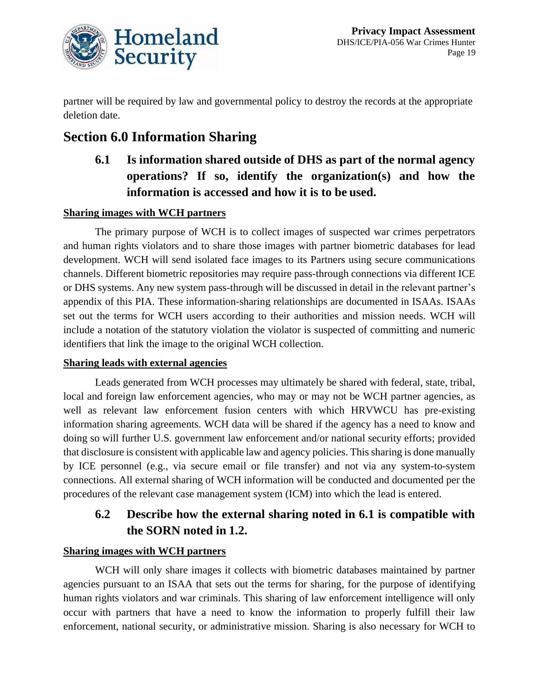

partner will be required by law and governmental policy to destroy the records at the appropriate deletion date.

# **Section 6.0 Information Sharing**

**6.1 Is information shared outside of DHS as part of the normal agency operations? If so, identify the organization(s) and how the information is accessed and how it is to be used.**

### **Sharing images with WCH partners**

The primary purpose of WCH is to collect images of suspected war crimes perpetrators and human rights violators and to share those images with partner biometric databases for lead development. WCH will send isolated face images to its Partners using secure communications channels. Different biometric repositories may require pass-through connections via different ICE or DHS systems. Any new system pass-through will be discussed in detail in the relevant partner's appendix of this PIA. These information-sharing relationships are documented in ISAAs. ISAAs set out the terms for WCH users according to their authorities and mission needs. WCH will include a notation of the statutory violation the violator is suspected of committing and numeric identifiers that link the image to the original WCH collection.

#### **Sharing leads with external agencies**

Leads generated from WCH processes may ultimately be shared with federal, state, tribal, local and foreign law enforcement agencies, who may or may not be WCH partner agencies, as well as relevant law enforcement fusion centers with which HRVWCU has pre-existing information sharing agreements. WCH data will be shared if the agency has a need to know and doing so will further U.S. government law enforcement and/or national security efforts; provided that disclosure is consistent with applicable law and agency policies. This sharing is done manually by ICE personnel (e.g., via secure email or file transfer) and not via any system-to-system connections. All external sharing of WCH information will be conducted and documented per the procedures of the relevant case management system (ICM) into which the lead is entered.

### **6.2 Describe how the external sharing noted in 6.1 is compatible with the SORN noted in 1.2.**

#### **Sharing images with WCH partners**

WCH will only share images it collects with biometric databases maintained by partner agencies pursuant to an ISAA that sets out the terms for sharing, for the purpose of identifying human rights violators and war criminals. This sharing of law enforcement intelligence will only occur with partners that have a need to know the information to properly fulfill their law enforcement, national security, or administrative mission. Sharing is also necessary for WCH to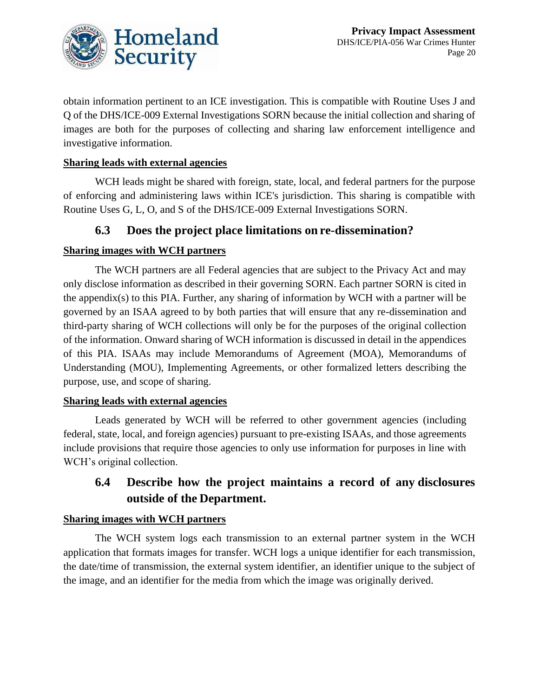

obtain information pertinent to an ICE investigation. This is compatible with Routine Uses J and Q of the DHS/ICE-009 External Investigations SORN because the initial collection and sharing of images are both for the purposes of collecting and sharing law enforcement intelligence and investigative information.

#### **Sharing leads with external agencies**

WCH leads might be shared with foreign, state, local, and federal partners for the purpose of enforcing and administering laws within ICE's jurisdiction. This sharing is compatible with Routine Uses G, L, O, and S of the DHS/ICE-009 External Investigations SORN.

### **6.3 Does the project place limitations on re-dissemination?**

### **Sharing images with WCH partners**

The WCH partners are all Federal agencies that are subject to the Privacy Act and may only disclose information as described in their governing SORN. Each partner SORN is cited in the appendix(s) to this PIA. Further, any sharing of information by WCH with a partner will be governed by an ISAA agreed to by both parties that will ensure that any re-dissemination and third-party sharing of WCH collections will only be for the purposes of the original collection of the information. Onward sharing of WCH information is discussed in detail in the appendices of this PIA. ISAAs may include Memorandums of Agreement (MOA), Memorandums of Understanding (MOU), Implementing Agreements, or other formalized letters describing the purpose, use, and scope of sharing.

#### **Sharing leads with external agencies**

Leads generated by WCH will be referred to other government agencies (including federal, state, local, and foreign agencies) pursuant to pre-existing ISAAs, and those agreements include provisions that require those agencies to only use information for purposes in line with WCH's original collection.

### **6.4 Describe how the project maintains a record of any disclosures outside of the Department.**

#### **Sharing images with WCH partners**

The WCH system logs each transmission to an external partner system in the WCH application that formats images for transfer. WCH logs a unique identifier for each transmission, the date/time of transmission, the external system identifier, an identifier unique to the subject of the image, and an identifier for the media from which the image was originally derived.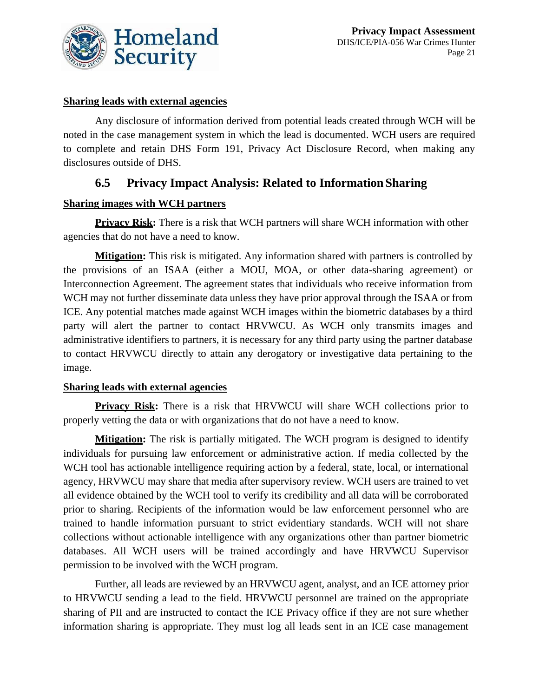

#### **Sharing leads with external agencies**

Any disclosure of information derived from potential leads created through WCH will be noted in the case management system in which the lead is documented. WCH users are required to complete and retain DHS Form 191, Privacy Act Disclosure Record, when making any disclosures outside of DHS.

### **6.5 Privacy Impact Analysis: Related to InformationSharing**

#### **Sharing images with WCH partners**

**Privacy Risk:** There is a risk that WCH partners will share WCH information with other agencies that do not have a need to know.

**Mitigation:** This risk is mitigated. Any information shared with partners is controlled by the provisions of an ISAA (either a MOU, MOA, or other data-sharing agreement) or Interconnection Agreement. The agreement states that individuals who receive information from WCH may not further disseminate data unless they have prior approval through the ISAA or from ICE. Any potential matches made against WCH images within the biometric databases by a third party will alert the partner to contact HRVWCU. As WCH only transmits images and administrative identifiers to partners, it is necessary for any third party using the partner database to contact HRVWCU directly to attain any derogatory or investigative data pertaining to the image.

#### **Sharing leads with external agencies**

**Privacy Risk:** There is a risk that HRVWCU will share WCH collections prior to properly vetting the data or with organizations that do not have a need to know.

**Mitigation:** The risk is partially mitigated. The WCH program is designed to identify individuals for pursuing law enforcement or administrative action. If media collected by the WCH tool has actionable intelligence requiring action by a federal, state, local, or international agency, HRVWCU may share that media after supervisory review. WCH users are trained to vet all evidence obtained by the WCH tool to verify its credibility and all data will be corroborated prior to sharing. Recipients of the information would be law enforcement personnel who are trained to handle information pursuant to strict evidentiary standards. WCH will not share collections without actionable intelligence with any organizations other than partner biometric databases. All WCH users will be trained accordingly and have HRVWCU Supervisor permission to be involved with the WCH program.

Further, all leads are reviewed by an HRVWCU agent, analyst, and an ICE attorney prior to HRVWCU sending a lead to the field. HRVWCU personnel are trained on the appropriate sharing of PII and are instructed to contact the ICE Privacy office if they are not sure whether information sharing is appropriate. They must log all leads sent in an ICE case management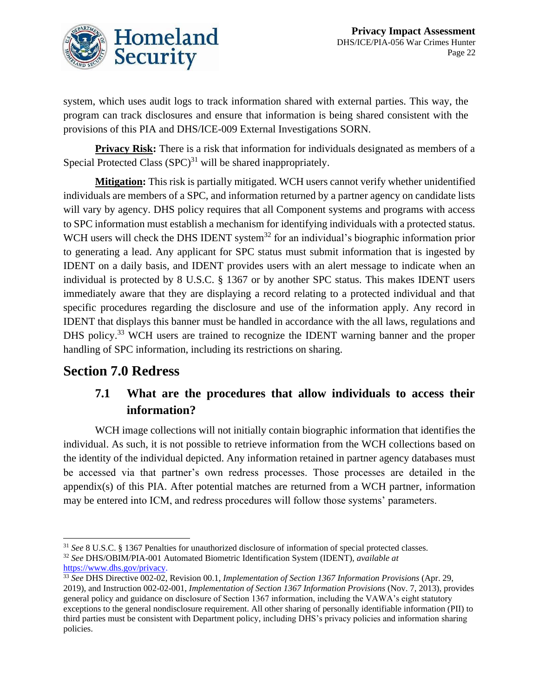

system, which uses audit logs to track information shared with external parties. This way, the program can track disclosures and ensure that information is being shared consistent with the provisions of this PIA and DHS/ICE-009 External Investigations SORN.

**Privacy Risk:** There is a risk that information for individuals designated as members of a Special Protected Class  $(SPC)^{31}$  will be shared inappropriately.

**Mitigation:** This risk is partially mitigated. WCH users cannot verify whether unidentified individuals are members of a SPC, and information returned by a partner agency on candidate lists will vary by agency. DHS policy requires that all Component systems and programs with access to SPC information must establish a mechanism for identifying individuals with a protected status. WCH users will check the DHS IDENT system<sup>32</sup> for an individual's biographic information prior to generating a lead. Any applicant for SPC status must submit information that is ingested by IDENT on a daily basis, and IDENT provides users with an alert message to indicate when an individual is protected by 8 U.S.C. § 1367 or by another SPC status. This makes IDENT users immediately aware that they are displaying a record relating to a protected individual and that specific procedures regarding the disclosure and use of the information apply. Any record in IDENT that displays this banner must be handled in accordance with the all laws, regulations and DHS policy.<sup>33</sup> WCH users are trained to recognize the IDENT warning banner and the proper handling of SPC information, including its restrictions on sharing.

### **Section 7.0 Redress**

### **7.1 What are the procedures that allow individuals to access their information?**

WCH image collections will not initially contain biographic information that identifies the individual. As such, it is not possible to retrieve information from the WCH collections based on the identity of the individual depicted. Any information retained in partner agency databases must be accessed via that partner's own redress processes. Those processes are detailed in the appendix(s) of this PIA. After potential matches are returned from a WCH partner, information may be entered into ICM, and redress procedures will follow those systems' parameters.

<sup>31</sup> *See* 8 U.S.C. § 1367 Penalties for unauthorized disclosure of information of special protected classes. <sup>32</sup> *See* DHS/OBIM/PIA-001 Automated Biometric Identification System (IDENT), *available at* 

[https://www.dhs.gov/privacy.](https://www.dhs.gov/privacy)

<sup>33</sup> *See* DHS Directive 002-02, Revision 00.1, *Implementation of Section 1367 Information Provisions* (Apr. 29, 2019), and Instruction 002-02-001, *Implementation of Section 1367 Information Provisions* (Nov. 7, 2013), provides general policy and guidance on disclosure of Section 1367 information, including the VAWA's eight statutory exceptions to the general nondisclosure requirement. All other sharing of personally identifiable information (PII) to third parties must be consistent with Department policy, including DHS's privacy policies and information sharing policies.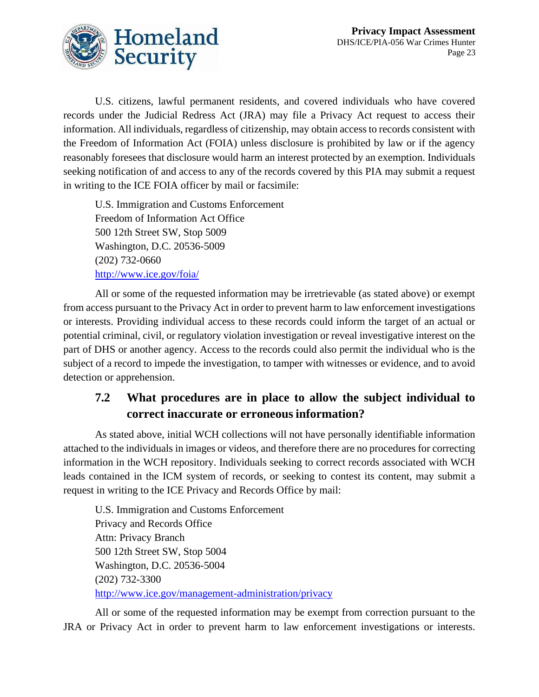

U.S. citizens, lawful permanent residents, and covered individuals who have covered records under the Judicial Redress Act (JRA) may file a Privacy Act request to access their information. All individuals, regardless of citizenship, may obtain access to records consistent with the Freedom of Information Act (FOIA) unless disclosure is prohibited by law or if the agency reasonably foresees that disclosure would harm an interest protected by an exemption. Individuals seeking notification of and access to any of the records covered by this PIA may submit a request in writing to the ICE FOIA officer by mail or facsimile:

U.S. Immigration and Customs Enforcement Freedom of Information Act Office 500 12th Street SW, Stop 5009 Washington, D.C. 20536-5009 (202) 732-0660 http://www.ice.gov/foia/

All or some of the requested information may be irretrievable (as stated above) or exempt from access pursuant to the Privacy Act in order to prevent harm to law enforcement investigations or interests. Providing individual access to these records could inform the target of an actual or potential criminal, civil, or regulatory violation investigation or reveal investigative interest on the part of DHS or another agency. Access to the records could also permit the individual who is the subject of a record to impede the investigation, to tamper with witnesses or evidence, and to avoid detection or apprehension.

### **7.2 What procedures are in place to allow the subject individual to correct inaccurate or erroneous information?**

As stated above, initial WCH collections will not have personally identifiable information attached to the individuals in images or videos, and therefore there are no procedures for correcting information in the WCH repository. Individuals seeking to correct records associated with WCH leads contained in the ICM system of records, or seeking to contest its content, may submit a request in writing to the ICE Privacy and Records Office by mail:

U.S. Immigration and Customs Enforcement Privacy and Records Office Attn: Privacy Branch 500 12th Street SW, Stop 5004 Washington, D.C. 20536-5004 (202) 732-3300 <http://www.ice.gov/management-administration/privacy>

All or some of the requested information may be exempt from correction pursuant to the JRA or Privacy Act in order to prevent harm to law enforcement investigations or interests.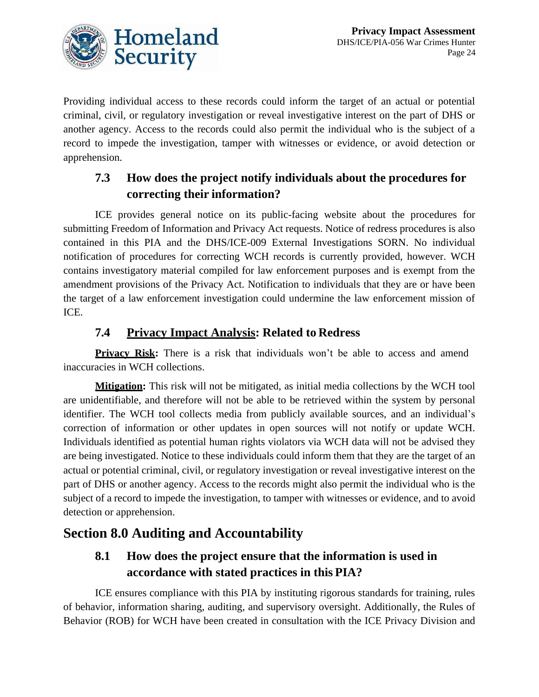

Providing individual access to these records could inform the target of an actual or potential criminal, civil, or regulatory investigation or reveal investigative interest on the part of DHS or another agency. Access to the records could also permit the individual who is the subject of a record to impede the investigation, tamper with witnesses or evidence, or avoid detection or apprehension.

### **7.3 How does the project notify individuals about the procedures for correcting their information?**

ICE provides general notice on its public-facing website about the procedures for submitting Freedom of Information and Privacy Act requests. Notice of redress procedures is also contained in this PIA and the DHS/ICE-009 External Investigations SORN. No individual notification of procedures for correcting WCH records is currently provided, however. WCH contains investigatory material compiled for law enforcement purposes and is exempt from the amendment provisions of the Privacy Act. Notification to individuals that they are or have been the target of a law enforcement investigation could undermine the law enforcement mission of ICE.

### **7.4 Privacy Impact Analysis: Related to Redress**

**Privacy Risk:** There is a risk that individuals won't be able to access and amend inaccuracies in WCH collections.

**Mitigation:** This risk will not be mitigated, as initial media collections by the WCH tool are unidentifiable, and therefore will not be able to be retrieved within the system by personal identifier. The WCH tool collects media from publicly available sources, and an individual's correction of information or other updates in open sources will not notify or update WCH. Individuals identified as potential human rights violators via WCH data will not be advised they are being investigated. Notice to these individuals could inform them that they are the target of an actual or potential criminal, civil, or regulatory investigation or reveal investigative interest on the part of DHS or another agency. Access to the records might also permit the individual who is the subject of a record to impede the investigation, to tamper with witnesses or evidence, and to avoid detection or apprehension.

# **Section 8.0 Auditing and Accountability**

## **8.1 How does the project ensure that the information is used in accordance with stated practices in this PIA?**

ICE ensures compliance with this PIA by instituting rigorous standards for training, rules of behavior, information sharing, auditing, and supervisory oversight. Additionally, the Rules of Behavior (ROB) for WCH have been created in consultation with the ICE Privacy Division and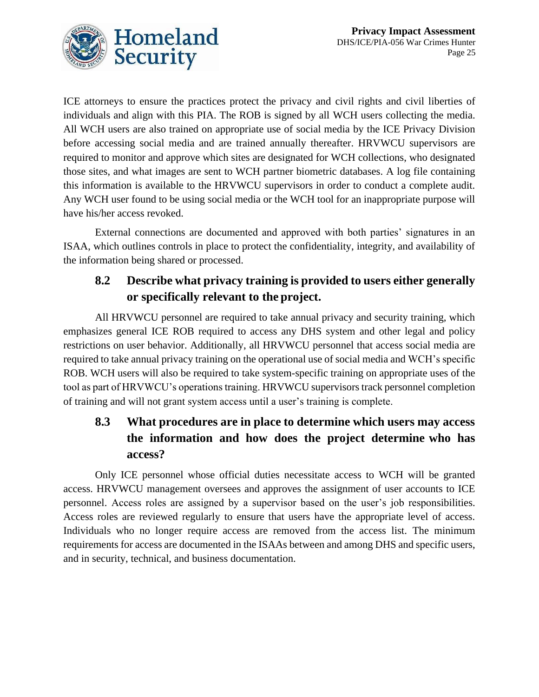

ICE attorneys to ensure the practices protect the privacy and civil rights and civil liberties of individuals and align with this PIA. The ROB is signed by all WCH users collecting the media. All WCH users are also trained on appropriate use of social media by the ICE Privacy Division before accessing social media and are trained annually thereafter. HRVWCU supervisors are required to monitor and approve which sites are designated for WCH collections, who designated those sites, and what images are sent to WCH partner biometric databases. A log file containing this information is available to the HRVWCU supervisors in order to conduct a complete audit. Any WCH user found to be using social media or the WCH tool for an inappropriate purpose will have his/her access revoked.

External connections are documented and approved with both parties' signatures in an ISAA, which outlines controls in place to protect the confidentiality, integrity, and availability of the information being shared or processed.

### **8.2 Describe what privacy training is provided to users either generally or specifically relevant to the project.**

All HRVWCU personnel are required to take annual privacy and security training, which emphasizes general ICE ROB required to access any DHS system and other legal and policy restrictions on user behavior. Additionally, all HRVWCU personnel that access social media are required to take annual privacy training on the operational use of social media and WCH's specific ROB. WCH users will also be required to take system-specific training on appropriate uses of the tool as part of HRVWCU's operations training. HRVWCU supervisors track personnel completion of training and will not grant system access until a user's training is complete.

# **8.3 What procedures are in place to determine which users may access the information and how does the project determine who has access?**

Only ICE personnel whose official duties necessitate access to WCH will be granted access. HRVWCU management oversees and approves the assignment of user accounts to ICE personnel. Access roles are assigned by a supervisor based on the user's job responsibilities. Access roles are reviewed regularly to ensure that users have the appropriate level of access. Individuals who no longer require access are removed from the access list. The minimum requirements for access are documented in the ISAAs between and among DHS and specific users, and in security, technical, and business documentation.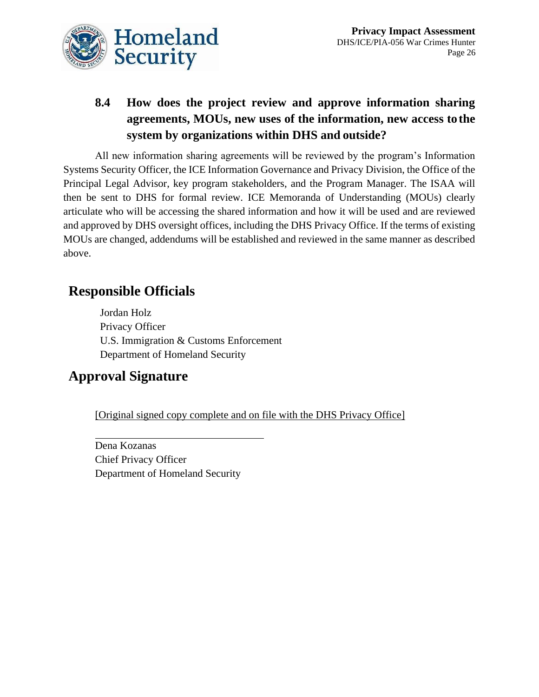

# **8.4 How does the project review and approve information sharing agreements, MOUs, new uses of the information, new access to the system by organizations within DHS and outside?**

All new information sharing agreements will be reviewed by the program's Information Systems Security Officer, the ICE Information Governance and Privacy Division, the Office of the Principal Legal Advisor, key program stakeholders, and the Program Manager. The ISAA will then be sent to DHS for formal review. ICE Memoranda of Understanding (MOUs) clearly articulate who will be accessing the shared information and how it will be used and are reviewed and approved by DHS oversight offices, including the DHS Privacy Office. If the terms of existing MOUs are changed, addendums will be established and reviewed in the same manner as described above.

# **Responsible Officials**

Jordan Holz Privacy Officer U.S. Immigration & Customs Enforcement Department of Homeland Security

# **Approval Signature**

[Original signed copy complete and on file with the DHS Privacy Office]

Dena Kozanas Chief Privacy Officer Department of Homeland Security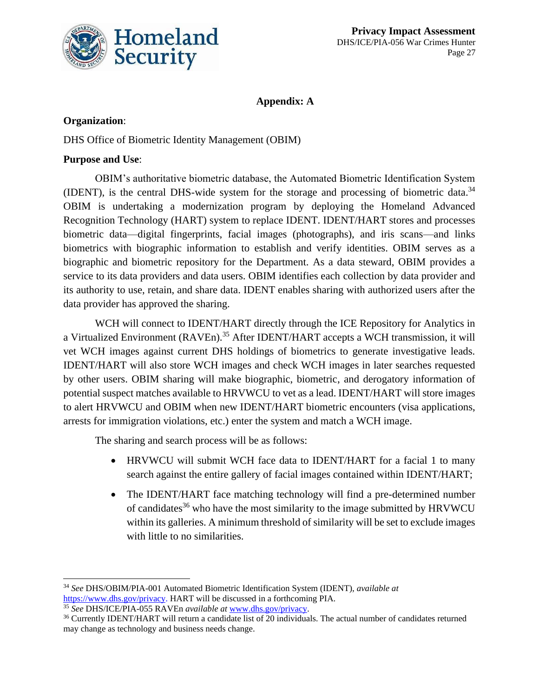

### **Appendix: A**

### **Organization**:

DHS Office of Biometric Identity Management (OBIM)

### **Purpose and Use**:

OBIM's authoritative biometric database, the Automated Biometric Identification System (IDENT), is the central DHS-wide system for the storage and processing of biometric data.<sup>34</sup> OBIM is undertaking a modernization program by deploying the Homeland Advanced Recognition Technology (HART) system to replace IDENT. IDENT/HART stores and processes biometric data—digital fingerprints, facial images (photographs), and iris scans—and links biometrics with biographic information to establish and verify identities. OBIM serves as a biographic and biometric repository for the Department. As a data steward, OBIM provides a service to its data providers and data users. OBIM identifies each collection by data provider and its authority to use, retain, and share data. IDENT enables sharing with authorized users after the data provider has approved the sharing.

WCH will connect to IDENT/HART directly through the ICE Repository for Analytics in a Virtualized Environment (RAVEn).<sup>35</sup> After IDENT/HART accepts a WCH transmission, it will vet WCH images against current DHS holdings of biometrics to generate investigative leads. IDENT/HART will also store WCH images and check WCH images in later searches requested by other users. OBIM sharing will make biographic, biometric, and derogatory information of potential suspect matches available to HRVWCU to vet as a lead. IDENT/HART will store images to alert HRVWCU and OBIM when new IDENT/HART biometric encounters (visa applications, arrests for immigration violations, etc.) enter the system and match a WCH image.

The sharing and search process will be as follows:

- HRVWCU will submit WCH face data to IDENT/HART for a facial 1 to many search against the entire gallery of facial images contained within IDENT/HART;
- The IDENT/HART face matching technology will find a pre-determined number of candidates<sup>36</sup> who have the most similarity to the image submitted by HRVWCU within its galleries. A minimum threshold of similarity will be set to exclude images with little to no similarities.

<sup>34</sup> *See* DHS/OBIM/PIA-001 Automated Biometric Identification System (IDENT), *available at*  [https://www.dhs.gov/privacy.](https://www.dhs.gov/privacy) HART will be discussed in a forthcoming PIA.

<sup>35</sup> *See* DHS/ICE/PIA-055 RAVEn *available at* [www.dhs.gov/privacy.](http://www.dhs.gov/privacy)

<sup>36</sup> Currently IDENT/HART will return a candidate list of 20 individuals. The actual number of candidates returned may change as technology and business needs change.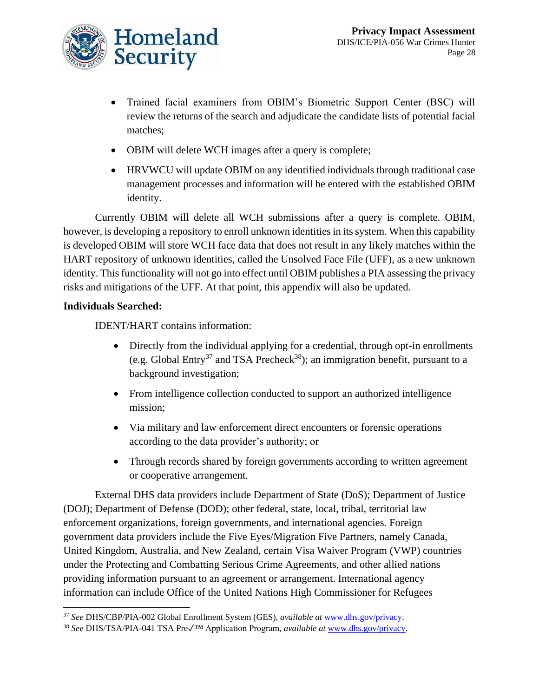

- Trained facial examiners from OBIM's Biometric Support Center (BSC) will review the returns of the search and adjudicate the candidate lists of potential facial matches;
- OBIM will delete WCH images after a query is complete;
- HRVWCU will update OBIM on any identified individuals through traditional case management processes and information will be entered with the established OBIM identity.

Currently OBIM will delete all WCH submissions after a query is complete. OBIM, however, is developing a repository to enroll unknown identities in its system. When this capability is developed OBIM will store WCH face data that does not result in any likely matches within the HART repository of unknown identities, called the Unsolved Face File (UFF), as a new unknown identity. This functionality will not go into effect until OBIM publishes a PIA assessing the privacy risks and mitigations of the UFF. At that point, this appendix will also be updated.

### **Individuals Searched:**

IDENT/HART contains information:

- Directly from the individual applying for a credential, through opt-in enrollments (e.g. Global Entry<sup>37</sup> and TSA Precheck<sup>38</sup>); an immigration benefit, pursuant to a background investigation;
- From intelligence collection conducted to support an authorized intelligence mission;
- Via military and law enforcement direct encounters or forensic operations according to the data provider's authority; or
- Through records shared by foreign governments according to written agreement or cooperative arrangement.

External DHS data providers include Department of State (DoS); Department of Justice (DOJ); Department of Defense (DOD); other federal, state, local, tribal, territorial law enforcement organizations, foreign governments, and international agencies. Foreign government data providers include the Five Eyes/Migration Five Partners, namely Canada, United Kingdom, Australia, and New Zealand, certain Visa Waiver Program (VWP) countries under the Protecting and Combatting Serious Crime Agreements, and other allied nations providing information pursuant to an agreement or arrangement. International agency information can include Office of the United Nations High Commissioner for Refugees

<sup>37</sup> *See* DHS/CBP/PIA-002 Global Enrollment System (GES), *available at* [www.dhs.gov/privacy.](http://www.dhs.gov/privacy)

<sup>38</sup> *See* DHS/TSA/PIA-041 TSA Pre✓™ Application Program, *available at* [www.dhs.gov/privacy.](http://www.dhs.gov/privacy)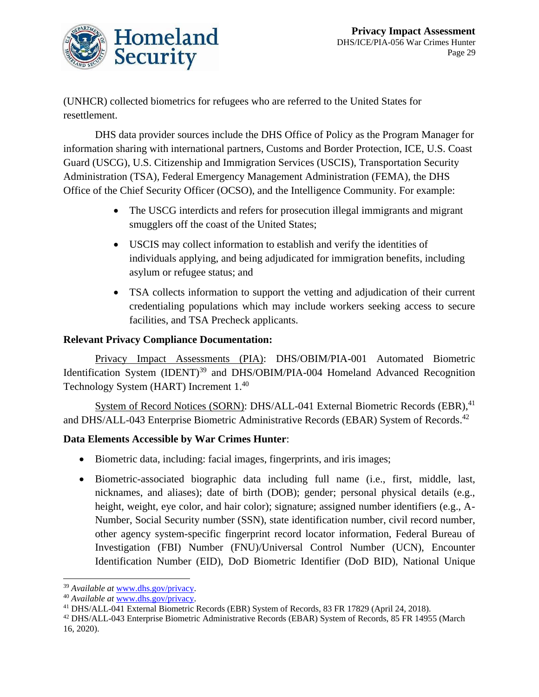

(UNHCR) collected biometrics for refugees who are referred to the United States for resettlement.

DHS data provider sources include the DHS Office of Policy as the Program Manager for information sharing with international partners, Customs and Border Protection, ICE, U.S. Coast Guard (USCG), U.S. Citizenship and Immigration Services (USCIS), Transportation Security Administration (TSA), Federal Emergency Management Administration (FEMA), the DHS Office of the Chief Security Officer (OCSO), and the Intelligence Community. For example:

- The USCG interdicts and refers for prosecution illegal immigrants and migrant smugglers off the coast of the United States;
- USCIS may collect information to establish and verify the identities of individuals applying, and being adjudicated for immigration benefits, including asylum or refugee status; and
- TSA collects information to support the vetting and adjudication of their current credentialing populations which may include workers seeking access to secure facilities, and TSA Precheck applicants.

#### **Relevant Privacy Compliance Documentation:**

Privacy Impact Assessments (PIA): DHS/OBIM/PIA-001 Automated Biometric Identification System (IDENT)<sup>39</sup> and DHS/OBIM/PIA-004 Homeland Advanced Recognition Technology System (HART) Increment 1.<sup>40</sup>

System of Record Notices (SORN): DHS/ALL-041 External Biometric Records (EBR), <sup>41</sup> and DHS/ALL-043 Enterprise Biometric Administrative Records (EBAR) System of Records.<sup>42</sup>

#### **Data Elements Accessible by War Crimes Hunter**:

- Biometric data, including: facial images, fingerprints, and iris images;
- Biometric-associated biographic data including full name (i.e., first, middle, last, nicknames, and aliases); date of birth (DOB); gender; personal physical details (e.g., height, weight, eye color, and hair color); signature; assigned number identifiers (e.g., A-Number, Social Security number (SSN), state identification number, civil record number, other agency system-specific fingerprint record locator information, Federal Bureau of Investigation (FBI) Number (FNU)/Universal Control Number (UCN), Encounter Identification Number (EID), DoD Biometric Identifier (DoD BID), National Unique

<sup>39</sup> *Available at* [www.dhs.gov/privacy.](http://www.dhs.gov/privacy) 

<sup>40</sup> *Available at* [www.dhs.gov/privacy.](http://www.dhs.gov/privacy) 

<sup>41</sup> DHS/ALL-041 External Biometric Records (EBR) System of Records, 83 FR 17829 (April 24, 2018).

<sup>&</sup>lt;sup>42</sup> DHS/ALL-043 Enterprise Biometric Administrative Records (EBAR) System of Records, 85 FR 14955 (March 16, 2020).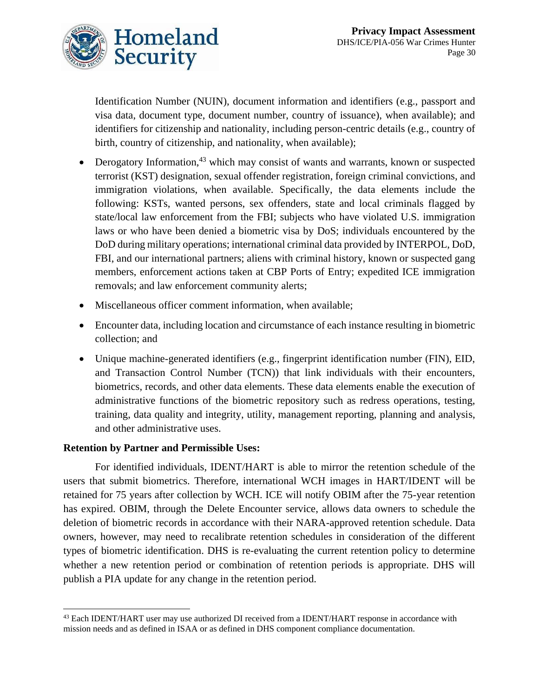

Identification Number (NUIN), document information and identifiers (e.g., passport and visa data, document type, document number, country of issuance), when available); and identifiers for citizenship and nationality, including person-centric details (e.g., country of birth, country of citizenship, and nationality, when available);

- Derogatory Information,<sup>43</sup> which may consist of wants and warrants, known or suspected terrorist (KST) designation, sexual offender registration, foreign criminal convictions, and immigration violations, when available. Specifically, the data elements include the following: KSTs, wanted persons, sex offenders, state and local criminals flagged by state/local law enforcement from the FBI; subjects who have violated U.S. immigration laws or who have been denied a biometric visa by DoS; individuals encountered by the DoD during military operations; international criminal data provided by INTERPOL, DoD, FBI, and our international partners; aliens with criminal history, known or suspected gang members, enforcement actions taken at CBP Ports of Entry; expedited ICE immigration removals; and law enforcement community alerts;
- Miscellaneous officer comment information, when available;
- Encounter data, including location and circumstance of each instance resulting in biometric collection; and
- Unique machine-generated identifiers (e.g., fingerprint identification number (FIN), EID, and Transaction Control Number (TCN)) that link individuals with their encounters, biometrics, records, and other data elements. These data elements enable the execution of administrative functions of the biometric repository such as redress operations, testing, training, data quality and integrity, utility, management reporting, planning and analysis, and other administrative uses.

#### **Retention by Partner and Permissible Uses:**

For identified individuals, IDENT/HART is able to mirror the retention schedule of the users that submit biometrics. Therefore, international WCH images in HART/IDENT will be retained for 75 years after collection by WCH. ICE will notify OBIM after the 75-year retention has expired. OBIM, through the Delete Encounter service, allows data owners to schedule the deletion of biometric records in accordance with their NARA-approved retention schedule. Data owners, however, may need to recalibrate retention schedules in consideration of the different types of biometric identification. DHS is re-evaluating the current retention policy to determine whether a new retention period or combination of retention periods is appropriate. DHS will publish a PIA update for any change in the retention period.

<sup>&</sup>lt;sup>43</sup> Each IDENT/HART user may use authorized DI received from a IDENT/HART response in accordance with mission needs and as defined in ISAA or as defined in DHS component compliance documentation.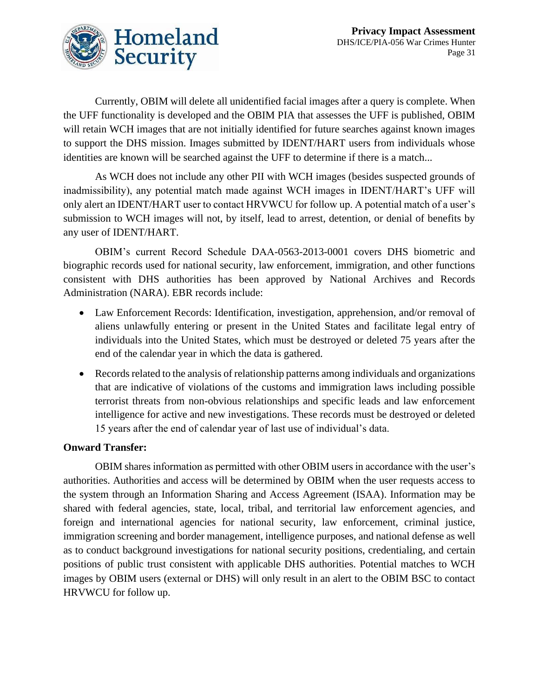

Currently, OBIM will delete all unidentified facial images after a query is complete. When the UFF functionality is developed and the OBIM PIA that assesses the UFF is published, OBIM will retain WCH images that are not initially identified for future searches against known images to support the DHS mission. Images submitted by IDENT/HART users from individuals whose identities are known will be searched against the UFF to determine if there is a match...

As WCH does not include any other PII with WCH images (besides suspected grounds of inadmissibility), any potential match made against WCH images in IDENT/HART's UFF will only alert an IDENT/HART user to contact HRVWCU for follow up. A potential match of a user's submission to WCH images will not, by itself, lead to arrest, detention, or denial of benefits by any user of IDENT/HART.

OBIM's current Record Schedule DAA-0563-2013-0001 covers DHS biometric and biographic records used for national security, law enforcement, immigration, and other functions consistent with DHS authorities has been approved by National Archives and Records Administration (NARA). EBR records include:

- Law Enforcement Records: Identification, investigation, apprehension, and/or removal of aliens unlawfully entering or present in the United States and facilitate legal entry of individuals into the United States, which must be destroyed or deleted 75 years after the end of the calendar year in which the data is gathered.
- Records related to the analysis of relationship patterns among individuals and organizations that are indicative of violations of the customs and immigration laws including possible terrorist threats from non-obvious relationships and specific leads and law enforcement intelligence for active and new investigations. These records must be destroyed or deleted 15 years after the end of calendar year of last use of individual's data.

#### **Onward Transfer:**

OBIM shares information as permitted with other OBIM users in accordance with the user's authorities. Authorities and access will be determined by OBIM when the user requests access to the system through an Information Sharing and Access Agreement (ISAA). Information may be shared with federal agencies, state, local, tribal, and territorial law enforcement agencies, and foreign and international agencies for national security, law enforcement, criminal justice, immigration screening and border management, intelligence purposes, and national defense as well as to conduct background investigations for national security positions, credentialing, and certain positions of public trust consistent with applicable DHS authorities. Potential matches to WCH images by OBIM users (external or DHS) will only result in an alert to the OBIM BSC to contact HRVWCU for follow up.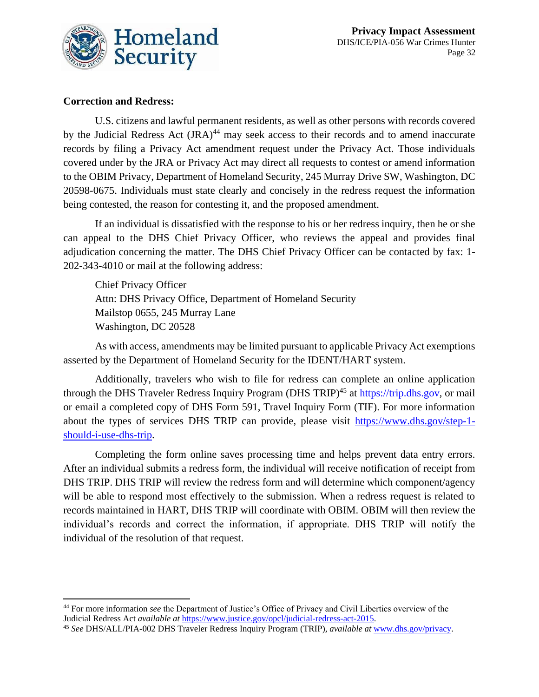![](_page_32_Picture_0.jpeg)

### **Correction and Redress:**

U.S. citizens and lawful permanent residents, as well as other persons with records covered by the Judicial Redress Act (JRA)<sup>44</sup> may seek access to their records and to amend inaccurate records by filing a Privacy Act amendment request under the Privacy Act. Those individuals covered under by the JRA or Privacy Act may direct all requests to contest or amend information to the OBIM Privacy, Department of Homeland Security, 245 Murray Drive SW, Washington, DC 20598-0675. Individuals must state clearly and concisely in the redress request the information being contested, the reason for contesting it, and the proposed amendment.

If an individual is dissatisfied with the response to his or her redress inquiry, then he or she can appeal to the DHS Chief Privacy Officer, who reviews the appeal and provides final adjudication concerning the matter. The DHS Chief Privacy Officer can be contacted by fax: 1- 202-343-4010 or mail at the following address:

Chief Privacy Officer Attn: DHS Privacy Office, Department of Homeland Security Mailstop 0655, 245 Murray Lane Washington, DC 20528

As with access, amendments may be limited pursuant to applicable Privacy Act exemptions asserted by the Department of Homeland Security for the IDENT/HART system.

Additionally, travelers who wish to file for redress can complete an online application through the DHS Traveler Redress Inquiry Program (DHS TRIP)<sup>45</sup> at [https://trip.dhs.gov,](https://trip.dhs.gov/) or mail or email a completed copy of DHS Form 591, Travel Inquiry Form (TIF). For more information about the types of services DHS TRIP can provide, please visit [https://www.dhs.gov/step-1](https://www.dhs.gov/step-1-should-i-use-dhs-trip) [should-i-use-dhs-trip.](https://www.dhs.gov/step-1-should-i-use-dhs-trip)

Completing the form online saves processing time and helps prevent data entry errors. After an individual submits a redress form, the individual will receive notification of receipt from DHS TRIP. DHS TRIP will review the redress form and will determine which component/agency will be able to respond most effectively to the submission. When a redress request is related to records maintained in HART, DHS TRIP will coordinate with OBIM. OBIM will then review the individual's records and correct the information, if appropriate. DHS TRIP will notify the individual of the resolution of that request.

<sup>44</sup> For more information *see* the Department of Justice's Office of Privacy and Civil Liberties overview of the Judicial Redress Act *available at* [https://www.justice.gov/opcl/judicial-redress-act-2015.](https://www.justice.gov/opcl/judicial-redress-act-2015)

<sup>45</sup> *See* DHS/ALL/PIA-002 DHS Traveler Redress Inquiry Program (TRIP), *available at* [www.dhs.gov/privacy.](http://www.dhs.gov/privacy)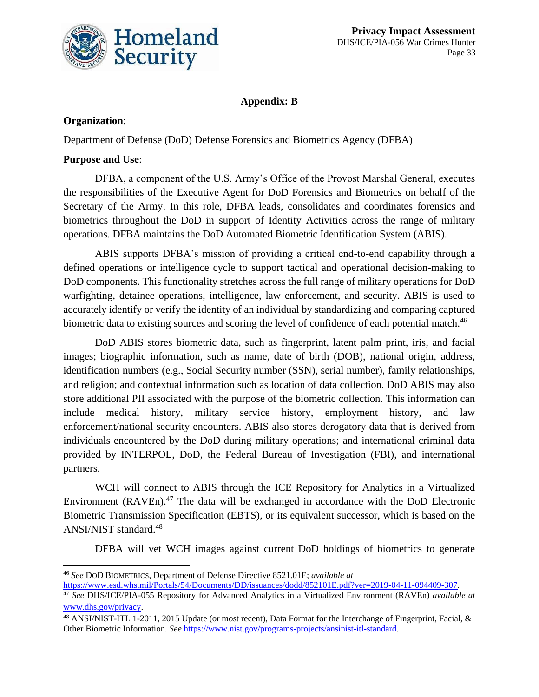![](_page_33_Picture_0.jpeg)

### **Appendix: B**

### **Organization**:

Department of Defense (DoD) Defense Forensics and Biometrics Agency (DFBA)

### **Purpose and Use**:

DFBA, a component of the U.S. Army's Office of the Provost Marshal General, executes the responsibilities of the Executive Agent for DoD Forensics and Biometrics on behalf of the Secretary of the Army. In this role, DFBA leads, consolidates and coordinates forensics and biometrics throughout the DoD in support of Identity Activities across the range of military operations. DFBA maintains the DoD Automated Biometric Identification System (ABIS).

ABIS supports DFBA's mission of providing a critical end-to-end capability through a defined operations or intelligence cycle to support tactical and operational decision-making to DoD components. This functionality stretches across the full range of military operations for DoD warfighting, detainee operations, intelligence, law enforcement, and security. ABIS is used to accurately identify or verify the identity of an individual by standardizing and comparing captured biometric data to existing sources and scoring the level of confidence of each potential match.<sup>46</sup>

DoD ABIS stores biometric data, such as fingerprint, latent palm print, iris, and facial images; biographic information, such as name, date of birth (DOB), national origin, address, identification numbers (e.g., Social Security number (SSN), serial number), family relationships, and religion; and contextual information such as location of data collection. DoD ABIS may also store additional PII associated with the purpose of the biometric collection. This information can include medical history, military service history, employment history, and law enforcement/national security encounters. ABIS also stores derogatory data that is derived from individuals encountered by the DoD during military operations; and international criminal data provided by INTERPOL, DoD, the Federal Bureau of Investigation (FBI), and international partners.

WCH will connect to ABIS through the ICE Repository for Analytics in a Virtualized Environment (RAVEn).<sup>47</sup> The data will be exchanged in accordance with the DoD Electronic Biometric Transmission Specification (EBTS), or its equivalent successor, which is based on the ANSI/NIST standard.<sup>48</sup>

DFBA will vet WCH images against current DoD holdings of biometrics to generate

<sup>46</sup> *See* DOD BIOMETRICS, Department of Defense Directive 8521.01E; *available at* [https://www.esd.whs.mil/Portals/54/Documents/DD/issuances/dodd/852101E.pdf?ver=2019-04-11-094409-307.](https://www.esd.whs.mil/Portals/54/Documents/DD/issuances/dodd/852101E.pdf?ver=2019-04-11-094409-307)

<sup>47</sup> *See* DHS/ICE/PIA-055 Repository for Advanced Analytics in a Virtualized Environment (RAVEn) *available at*  [www.dhs.gov/privacy.](file://///dhsnet.ds1.dhs/osem_shares/PRIV/Privacy%20Office/Compliance/PIA/ICE/DHS-ICE-PIA-056%20War%20Crimes%20Hunter/www.dhs.gov/privacy)

<sup>48</sup> ANSI/NIST-ITL 1-2011, 2015 Update (or most recent), Data Format for the Interchange of Fingerprint, Facial, & Other Biometric Information. *See* [https://www.nist.gov/programs-projects/ansinist-itl-standard.](https://www.nist.gov/programs-projects/ansinist-itl-standard)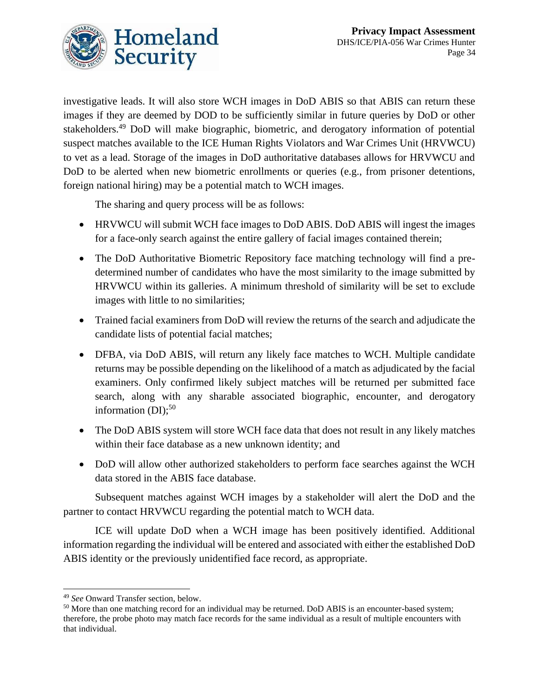![](_page_34_Picture_1.jpeg)

investigative leads. It will also store WCH images in DoD ABIS so that ABIS can return these images if they are deemed by DOD to be sufficiently similar in future queries by DoD or other stakeholders.<sup>49</sup> DoD will make biographic, biometric, and derogatory information of potential suspect matches available to the ICE Human Rights Violators and War Crimes Unit (HRVWCU) to vet as a lead. Storage of the images in DoD authoritative databases allows for HRVWCU and DoD to be alerted when new biometric enrollments or queries (e.g., from prisoner detentions, foreign national hiring) may be a potential match to WCH images.

The sharing and query process will be as follows:

- HRVWCU will submit WCH face images to DoD ABIS. DoD ABIS will ingest the images for a face-only search against the entire gallery of facial images contained therein;
- The DoD Authoritative Biometric Repository face matching technology will find a predetermined number of candidates who have the most similarity to the image submitted by HRVWCU within its galleries. A minimum threshold of similarity will be set to exclude images with little to no similarities;
- Trained facial examiners from DoD will review the returns of the search and adjudicate the candidate lists of potential facial matches;
- DFBA, via DoD ABIS, will return any likely face matches to WCH. Multiple candidate returns may be possible depending on the likelihood of a match as adjudicated by the facial examiners. Only confirmed likely subject matches will be returned per submitted face search, along with any sharable associated biographic, encounter, and derogatory information  $(DI)$ ;<sup>50</sup>
- The DoD ABIS system will store WCH face data that does not result in any likely matches within their face database as a new unknown identity; and
- DoD will allow other authorized stakeholders to perform face searches against the WCH data stored in the ABIS face database.

Subsequent matches against WCH images by a stakeholder will alert the DoD and the partner to contact HRVWCU regarding the potential match to WCH data.

ICE will update DoD when a WCH image has been positively identified. Additional information regarding the individual will be entered and associated with either the established DoD ABIS identity or the previously unidentified face record, as appropriate.

<sup>49</sup> *See* Onward Transfer section, below.

<sup>&</sup>lt;sup>50</sup> More than one matching record for an individual may be returned. DoD ABIS is an encounter-based system; therefore, the probe photo may match face records for the same individual as a result of multiple encounters with that individual.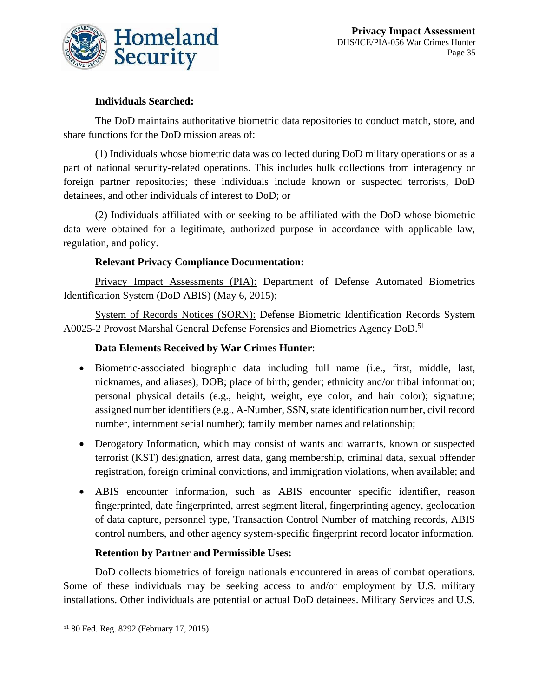![](_page_35_Picture_0.jpeg)

### **Individuals Searched:**

The DoD maintains authoritative biometric data repositories to conduct match, store, and share functions for the DoD mission areas of:

(1) Individuals whose biometric data was collected during DoD military operations or as a part of national security-related operations. This includes bulk collections from interagency or foreign partner repositories; these individuals include known or suspected terrorists, DoD detainees, and other individuals of interest to DoD; or

(2) Individuals affiliated with or seeking to be affiliated with the DoD whose biometric data were obtained for a legitimate, authorized purpose in accordance with applicable law, regulation, and policy.

### **Relevant Privacy Compliance Documentation:**

Privacy Impact Assessments (PIA): Department of Defense Automated Biometrics Identification System (DoD ABIS) (May 6, 2015);

System of Records Notices (SORN): Defense Biometric Identification Records System A0025-2 Provost Marshal General Defense Forensics and Biometrics Agency DoD.<sup>51</sup>

### **Data Elements Received by War Crimes Hunter**:

- Biometric-associated biographic data including full name (i.e., first, middle, last, nicknames, and aliases); DOB; place of birth; gender; ethnicity and/or tribal information; personal physical details (e.g., height, weight, eye color, and hair color); signature; assigned number identifiers (e.g., A-Number, SSN, state identification number, civil record number, internment serial number); family member names and relationship;
- Derogatory Information, which may consist of wants and warrants, known or suspected terrorist (KST) designation, arrest data, gang membership, criminal data, sexual offender registration, foreign criminal convictions, and immigration violations, when available; and
- ABIS encounter information, such as ABIS encounter specific identifier, reason fingerprinted, date fingerprinted, arrest segment literal, fingerprinting agency, geolocation of data capture, personnel type, Transaction Control Number of matching records, ABIS control numbers, and other agency system-specific fingerprint record locator information.

#### **Retention by Partner and Permissible Uses:**

DoD collects biometrics of foreign nationals encountered in areas of combat operations. Some of these individuals may be seeking access to and/or employment by U.S. military installations. Other individuals are potential or actual DoD detainees. Military Services and U.S.

<sup>51</sup> 80 Fed. Reg. 8292 (February 17, 2015).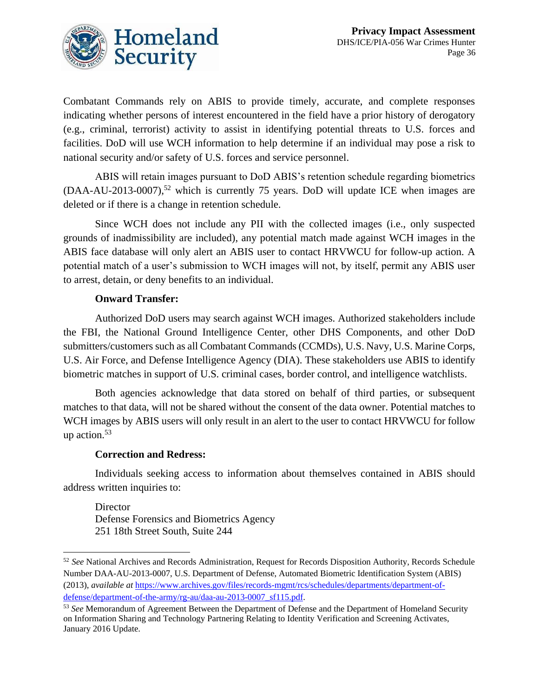![](_page_36_Picture_1.jpeg)

Combatant Commands rely on ABIS to provide timely, accurate, and complete responses indicating whether persons of interest encountered in the field have a prior history of derogatory (e.g., criminal, terrorist) activity to assist in identifying potential threats to U.S. forces and facilities. DoD will use WCH information to help determine if an individual may pose a risk to national security and/or safety of U.S. forces and service personnel.

ABIS will retain images pursuant to DoD ABIS's retention schedule regarding biometrics  $(DAA-AU-2013-0007)$ ,<sup>52</sup> which is currently 75 years. DoD will update ICE when images are deleted or if there is a change in retention schedule.

Since WCH does not include any PII with the collected images (i.e., only suspected grounds of inadmissibility are included), any potential match made against WCH images in the ABIS face database will only alert an ABIS user to contact HRVWCU for follow-up action. A potential match of a user's submission to WCH images will not, by itself, permit any ABIS user to arrest, detain, or deny benefits to an individual.

#### **Onward Transfer:**

Authorized DoD users may search against WCH images. Authorized stakeholders include the FBI, the National Ground Intelligence Center, other DHS Components, and other DoD submitters/customers such as all Combatant Commands (CCMDs), U.S. Navy, U.S. Marine Corps, U.S. Air Force, and Defense Intelligence Agency (DIA). These stakeholders use ABIS to identify biometric matches in support of U.S. criminal cases, border control, and intelligence watchlists.

Both agencies acknowledge that data stored on behalf of third parties, or subsequent matches to that data, will not be shared without the consent of the data owner. Potential matches to WCH images by ABIS users will only result in an alert to the user to contact HRVWCU for follow up action.<sup>53</sup>

#### **Correction and Redress:**

Individuals seeking access to information about themselves contained in ABIS should address written inquiries to:

**Director** Defense Forensics and Biometrics Agency 251 18th Street South, Suite 244

<sup>52</sup> *See* National Archives and Records Administration, Request for Records Disposition Authority, Records Schedule Number DAA-AU-2013-0007, U.S. Department of Defense, Automated Biometric Identification System (ABIS) (2013), *available at* [https://www.archives.gov/files/records-mgmt/rcs/schedules/departments/department-of](https://www.archives.gov/files/records-mgmt/rcs/schedules/departments/department-of-defense/department-of-the-army/rg-au/daa-au-2013-0007_sf115.pdf)[defense/department-of-the-army/rg-au/daa-au-2013-0007\\_sf115.pdf.](https://www.archives.gov/files/records-mgmt/rcs/schedules/departments/department-of-defense/department-of-the-army/rg-au/daa-au-2013-0007_sf115.pdf)

<sup>53</sup> *See* Memorandum of Agreement Between the Department of Defense and the Department of Homeland Security on Information Sharing and Technology Partnering Relating to Identity Verification and Screening Activates, January 2016 Update.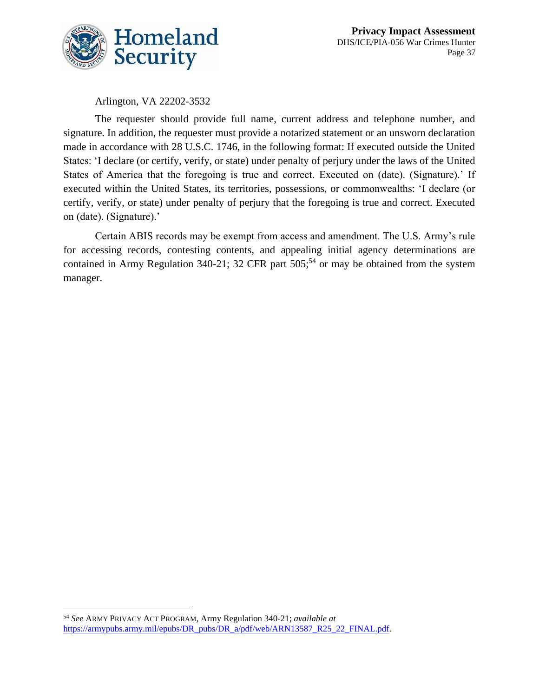![](_page_37_Picture_0.jpeg)

Arlington, VA 22202-3532

The requester should provide full name, current address and telephone number, and signature. In addition, the requester must provide a notarized statement or an unsworn declaration made in accordance with 28 U.S.C. 1746, in the following format: If executed outside the United States: 'I declare (or certify, verify, or state) under penalty of perjury under the laws of the United States of America that the foregoing is true and correct. Executed on (date). (Signature).' If executed within the United States, its territories, possessions, or commonwealths: 'I declare (or certify, verify, or state) under penalty of perjury that the foregoing is true and correct. Executed on (date). (Signature).'

Certain ABIS records may be exempt from access and amendment. The U.S. Army's rule for accessing records, contesting contents, and appealing initial agency determinations are contained in Army Regulation 340-21; 32 CFR part  $505$ ;<sup>54</sup> or may be obtained from the system manager.

<sup>54</sup> *See* ARMY PRIVACY ACT PROGRAM, Army Regulation 340-21; *available at* https://armypubs.army.mil/epubs/DR\_pubs/DR\_a/pdf/web/ARN13587\_R25\_22\_FINAL.pdf.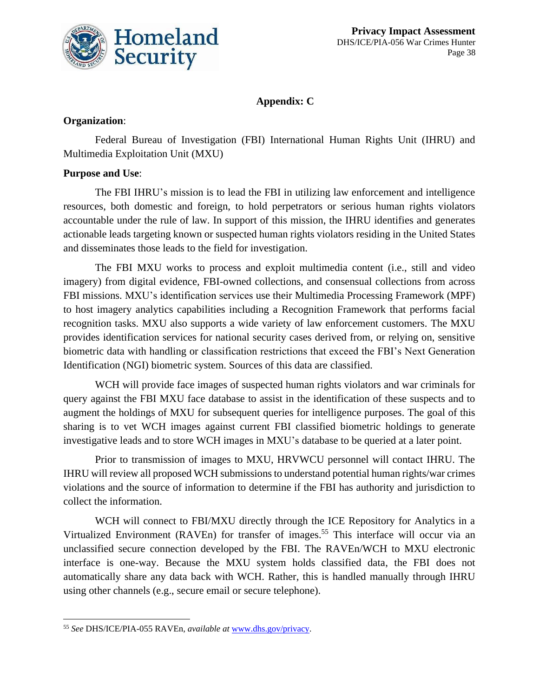![](_page_38_Picture_0.jpeg)

### **Appendix: C**

### **Organization**:

Federal Bureau of Investigation (FBI) International Human Rights Unit (IHRU) and Multimedia Exploitation Unit (MXU)

### **Purpose and Use**:

The FBI IHRU's mission is to lead the FBI in utilizing law enforcement and intelligence resources, both domestic and foreign, to hold perpetrators or serious human rights violators accountable under the rule of law. In support of this mission, the IHRU identifies and generates actionable leads targeting known or suspected human rights violators residing in the United States and disseminates those leads to the field for investigation.

The FBI MXU works to process and exploit multimedia content (i.e., still and video imagery) from digital evidence, FBI-owned collections, and consensual collections from across FBI missions. MXU's identification services use their Multimedia Processing Framework (MPF) to host imagery analytics capabilities including a Recognition Framework that performs facial recognition tasks. MXU also supports a wide variety of law enforcement customers. The MXU provides identification services for national security cases derived from, or relying on, sensitive biometric data with handling or classification restrictions that exceed the FBI's Next Generation Identification (NGI) biometric system. Sources of this data are classified.

WCH will provide face images of suspected human rights violators and war criminals for query against the FBI MXU face database to assist in the identification of these suspects and to augment the holdings of MXU for subsequent queries for intelligence purposes. The goal of this sharing is to vet WCH images against current FBI classified biometric holdings to generate investigative leads and to store WCH images in MXU's database to be queried at a later point.

Prior to transmission of images to MXU, HRVWCU personnel will contact IHRU. The IHRU will review all proposed WCH submissions to understand potential human rights/war crimes violations and the source of information to determine if the FBI has authority and jurisdiction to collect the information.

WCH will connect to FBI/MXU directly through the ICE Repository for Analytics in a Virtualized Environment (RAVEn) for transfer of images.<sup>55</sup> This interface will occur via an unclassified secure connection developed by the FBI. The RAVEn/WCH to MXU electronic interface is one-way. Because the MXU system holds classified data, the FBI does not automatically share any data back with WCH. Rather, this is handled manually through IHRU using other channels (e.g., secure email or secure telephone).

<sup>55</sup> *See* DHS/ICE/PIA-055 RAVEn, *available at* [www.dhs.gov/privacy.](http://www.dhs.gov/privacy)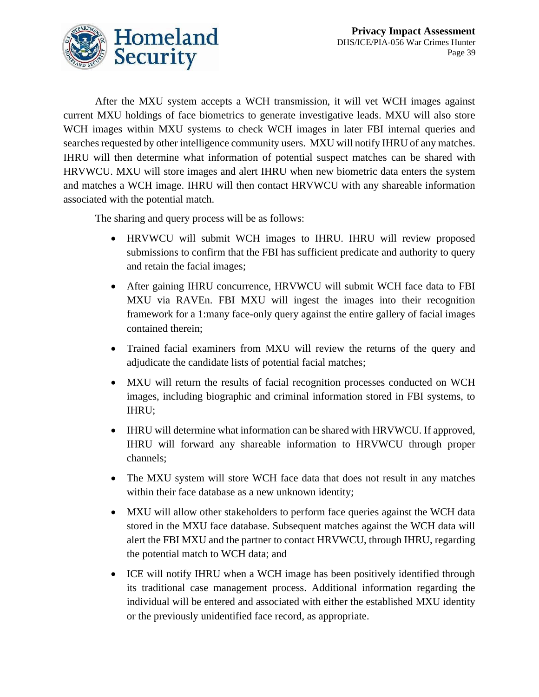![](_page_39_Picture_1.jpeg)

After the MXU system accepts a WCH transmission, it will vet WCH images against current MXU holdings of face biometrics to generate investigative leads. MXU will also store WCH images within MXU systems to check WCH images in later FBI internal queries and searches requested by other intelligence community users. MXU will notify IHRU of any matches. IHRU will then determine what information of potential suspect matches can be shared with HRVWCU. MXU will store images and alert IHRU when new biometric data enters the system and matches a WCH image. IHRU will then contact HRVWCU with any shareable information associated with the potential match.

The sharing and query process will be as follows:

- HRVWCU will submit WCH images to IHRU. IHRU will review proposed submissions to confirm that the FBI has sufficient predicate and authority to query and retain the facial images;
- After gaining IHRU concurrence, HRVWCU will submit WCH face data to FBI MXU via RAVEn. FBI MXU will ingest the images into their recognition framework for a 1:many face-only query against the entire gallery of facial images contained therein;
- Trained facial examiners from MXU will review the returns of the query and adjudicate the candidate lists of potential facial matches;
- MXU will return the results of facial recognition processes conducted on WCH images, including biographic and criminal information stored in FBI systems, to IHRU;
- IHRU will determine what information can be shared with HRVWCU. If approved, IHRU will forward any shareable information to HRVWCU through proper channels;
- The MXU system will store WCH face data that does not result in any matches within their face database as a new unknown identity;
- MXU will allow other stakeholders to perform face queries against the WCH data stored in the MXU face database. Subsequent matches against the WCH data will alert the FBI MXU and the partner to contact HRVWCU, through IHRU, regarding the potential match to WCH data; and
- ICE will notify IHRU when a WCH image has been positively identified through its traditional case management process. Additional information regarding the individual will be entered and associated with either the established MXU identity or the previously unidentified face record, as appropriate.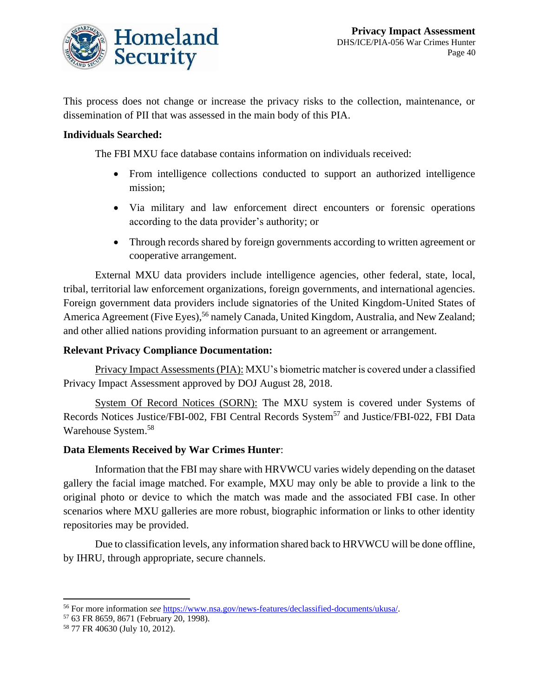![](_page_40_Picture_0.jpeg)

This process does not change or increase the privacy risks to the collection, maintenance, or dissemination of PII that was assessed in the main body of this PIA.

#### **Individuals Searched:**

The FBI MXU face database contains information on individuals received:

- From intelligence collections conducted to support an authorized intelligence mission;
- Via military and law enforcement direct encounters or forensic operations according to the data provider's authority; or
- Through records shared by foreign governments according to written agreement or cooperative arrangement.

External MXU data providers include intelligence agencies, other federal, state, local, tribal, territorial law enforcement organizations, foreign governments, and international agencies. Foreign government data providers include signatories of the United Kingdom-United States of America Agreement (Five Eyes),<sup>56</sup> namely Canada, United Kingdom, Australia, and New Zealand; and other allied nations providing information pursuant to an agreement or arrangement.

#### **Relevant Privacy Compliance Documentation:**

Privacy Impact Assessments (PIA): MXU's biometric matcher is covered under a classified Privacy Impact Assessment approved by DOJ August 28, 2018.

System Of Record Notices (SORN): The MXU system is covered under Systems of Records Notices Justice/FBI-002, FBI Central Records System<sup>57</sup> and Justice/FBI-022, FBI Data Warehouse System. 58

#### **Data Elements Received by War Crimes Hunter**:

Information that the FBI may share with HRVWCU varies widely depending on the dataset gallery the facial image matched. For example, MXU may only be able to provide a link to the original photo or device to which the match was made and the associated FBI case. In other scenarios where MXU galleries are more robust, biographic information or links to other identity repositories may be provided.

Due to classification levels, any information shared back to HRVWCU will be done offline, by IHRU, through appropriate, secure channels.

<sup>56</sup> For more information *see* [https://www.nsa.gov/news-features/declassified-documents/ukusa/.](https://www.nsa.gov/news-features/declassified-documents/ukusa/)

<sup>57</sup> 63 FR 8659, 8671 (February 20, 1998).

<sup>58</sup> 77 FR 40630 (July 10, 2012).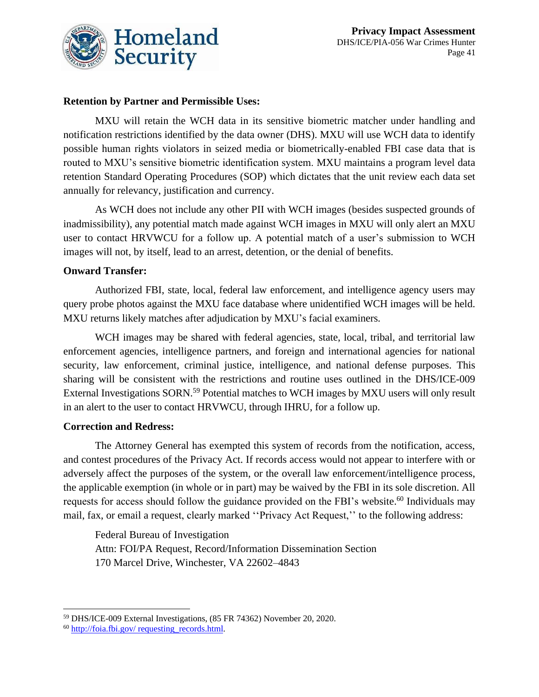![](_page_41_Picture_0.jpeg)

#### **Retention by Partner and Permissible Uses:**

MXU will retain the WCH data in its sensitive biometric matcher under handling and notification restrictions identified by the data owner (DHS). MXU will use WCH data to identify possible human rights violators in seized media or biometrically-enabled FBI case data that is routed to MXU's sensitive biometric identification system. MXU maintains a program level data retention Standard Operating Procedures (SOP) which dictates that the unit review each data set annually for relevancy, justification and currency.

As WCH does not include any other PII with WCH images (besides suspected grounds of inadmissibility), any potential match made against WCH images in MXU will only alert an MXU user to contact HRVWCU for a follow up. A potential match of a user's submission to WCH images will not, by itself, lead to an arrest, detention, or the denial of benefits.

#### **Onward Transfer:**

Authorized FBI, state, local, federal law enforcement, and intelligence agency users may query probe photos against the MXU face database where unidentified WCH images will be held. MXU returns likely matches after adjudication by MXU's facial examiners.

WCH images may be shared with federal agencies, state, local, tribal, and territorial law enforcement agencies, intelligence partners, and foreign and international agencies for national security, law enforcement, criminal justice, intelligence, and national defense purposes. This sharing will be consistent with the restrictions and routine uses outlined in the DHS/ICE-009 External Investigations SORN.<sup>59</sup> Potential matches to WCH images by MXU users will only result in an alert to the user to contact HRVWCU, through IHRU, for a follow up.

#### **Correction and Redress:**

The Attorney General has exempted this system of records from the notification, access, and contest procedures of the Privacy Act. If records access would not appear to interfere with or adversely affect the purposes of the system, or the overall law enforcement/intelligence process, the applicable exemption (in whole or in part) may be waived by the FBI in its sole discretion. All requests for access should follow the guidance provided on the FBI's website.<sup>60</sup> Individuals may mail, fax, or email a request, clearly marked ''Privacy Act Request,'' to the following address:

Federal Bureau of Investigation Attn: FOI/PA Request, Record/Information Dissemination Section 170 Marcel Drive, Winchester, VA 22602–4843

<sup>59</sup> DHS/ICE-009 External Investigations, (85 FR 74362) November 20, 2020.

 $60$  http://foia.fbi.gov/ requesting records.html.